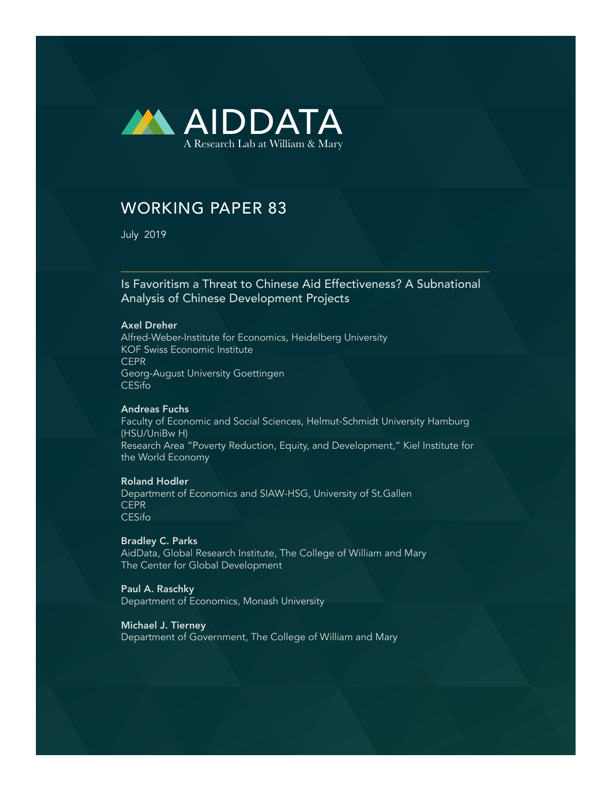

# WORKING PAPER 83

July 2019

### Is Favoritism a Threat to Chinese Aid Effectiveness? A Subnational Analysis of Chinese Development Projects

#### Axel Dreher

Alfred-Weber-Institute for Economics, Heidelberg University KOF Swiss Economic Institute CEPR Georg-August University Goettingen CESifo

#### Andreas Fuchs

Faculty of Economic and Social Sciences, Helmut-Schmidt University Hamburg (HSU/UniBw H) Research Area "Poverty Reduction, Equity, and Development," Kiel Institute for the World Economy

### Roland Hodler

Department of Economics and SIAW-HSG, University of St.Gallen CEPR CESifo

#### Bradley C. Parks

AidData, Global Research Institute, The College of William and Mary The Center for Global Development

#### Paul A. Raschky

Department of Economics, Monash University

#### Michael J. Tierney

Department of Government, The College of William and Mary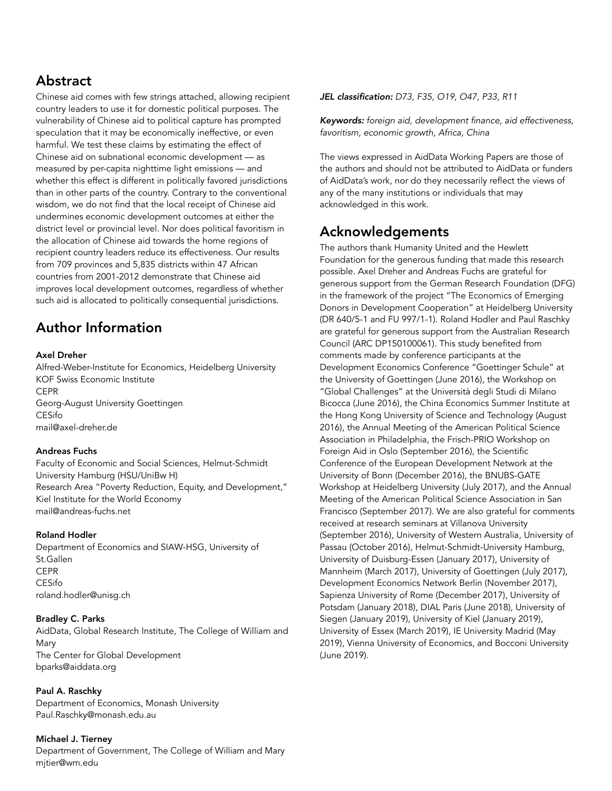## Abstract

Chinese aid comes with few strings attached, allowing recipient country leaders to use it for domestic political purposes. The vulnerability of Chinese aid to political capture has prompted speculation that it may be economically ineffective, or even harmful. We test these claims by estimating the effect of Chinese aid on subnational economic development — as measured by per-capita nighttime light emissions — and whether this effect is different in politically favored jurisdictions than in other parts of the country. Contrary to the conventional wisdom, we do not find that the local receipt of Chinese aid undermines economic development outcomes at either the district level or provincial level. Nor does political favoritism in the allocation of Chinese aid towards the home regions of recipient country leaders reduce its effectiveness. Our results from 709 provinces and 5,835 districts within 47 African countries from 2001-2012 demonstrate that Chinese aid improves local development outcomes, regardless of whether such aid is allocated to politically consequential jurisdictions.

## Author Information

#### Axel Dreher

Alfred-Weber-Institute for Economics, Heidelberg University KOF Swiss Economic Institute CEPR Georg-August University Goettingen CESifo mail@axel-dreher.de

#### Andreas Fuchs

Faculty of Economic and Social Sciences, Helmut-Schmidt University Hamburg (HSU/UniBw H) Research Area "Poverty Reduction, Equity, and Development," Kiel Institute for the World Economy mail@andreas-fuchs.net

#### Roland Hodler

Department of Economics and SIAW-HSG, University of St.Gallen CEPR CESifo roland.hodler@unisg.ch

#### Bradley C. Parks

AidData, Global Research Institute, The College of William and Mary The Center for Global Development bparks@aiddata.org

#### Paul A. Raschky

Department of Economics, Monash University Paul.Raschky@monash.edu.au

#### Michael J. Tierney

Department of Government, The College of William and Mary mjtier@wm.edu

*JEL classification: D73, F35, O19, O47, P33, R11* 

*Keywords: foreign aid, development finance, aid effectiveness, favoritism, economic growth, Africa, China* 

The views expressed in AidData Working Papers are those of the authors and should not be attributed to AidData or funders of AidData's work, nor do they necessarily reflect the views of any of the many institutions or individuals that may acknowledged in this work.

### Acknowledgements

The authors thank Humanity United and the Hewlett Foundation for the generous funding that made this research possible. Axel Dreher and Andreas Fuchs are grateful for generous support from the German Research Foundation (DFG) in the framework of the project "The Economics of Emerging Donors in Development Cooperation" at Heidelberg University (DR 640/5-1 and FU 997/1-1). Roland Hodler and Paul Raschky are grateful for generous support from the Australian Research Council (ARC DP150100061). This study benefited from comments made by conference participants at the Development Economics Conference "Goettinger Schule" at the University of Goettingen (June 2016), the Workshop on "Global Challenges" at the Università degli Studi di Milano Bicocca (June 2016), the China Economics Summer Institute at the Hong Kong University of Science and Technology (August 2016), the Annual Meeting of the American Political Science Association in Philadelphia, the Frisch-PRIO Workshop on Foreign Aid in Oslo (September 2016), the Scientific Conference of the European Development Network at the University of Bonn (December 2016), the BNUBS-GATE Workshop at Heidelberg University (July 2017), and the Annual Meeting of the American Political Science Association in San Francisco (September 2017). We are also grateful for comments received at research seminars at Villanova University (September 2016), University of Western Australia, University of Passau (October 2016), Helmut-Schmidt-University Hamburg, University of Duisburg-Essen (January 2017), University of Mannheim (March 2017), University of Goettingen (July 2017), Development Economics Network Berlin (November 2017), Sapienza University of Rome (December 2017), University of Potsdam (January 2018), DIAL Paris (June 2018), University of Siegen (January 2019), University of Kiel (January 2019), University of Essex (March 2019), IE University Madrid (May 2019), Vienna University of Economics, and Bocconi University (June 2019).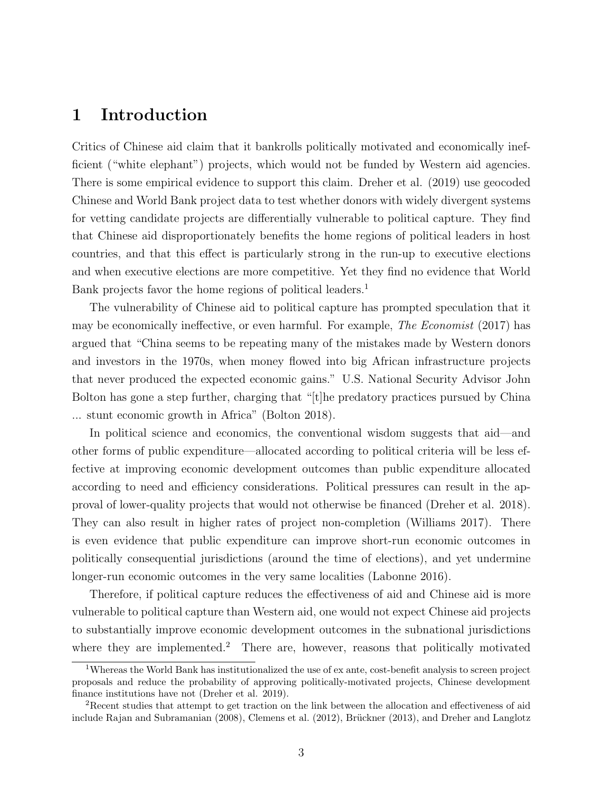### 1 Introduction

Critics of Chinese aid claim that it bankrolls politically motivated and economically inefficient ("white elephant") projects, which would not be funded by Western aid agencies. There is some empirical evidence to support this claim. Dreher et al. (2019) use geocoded Chinese and World Bank project data to test whether donors with widely divergent systems for vetting candidate projects are differentially vulnerable to political capture. They find that Chinese aid disproportionately benefits the home regions of political leaders in host countries, and that this effect is particularly strong in the run-up to executive elections and when executive elections are more competitive. Yet they find no evidence that World Bank projects favor the home regions of political leaders.<sup>1</sup>

The vulnerability of Chinese aid to political capture has prompted speculation that it may be economically ineffective, or even harmful. For example, The Economist (2017) has argued that "China seems to be repeating many of the mistakes made by Western donors and investors in the 1970s, when money flowed into big African infrastructure projects that never produced the expected economic gains." U.S. National Security Advisor John Bolton has gone a step further, charging that "[t]he predatory practices pursued by China ... stunt economic growth in Africa" (Bolton 2018).

In political science and economics, the conventional wisdom suggests that aid—and other forms of public expenditure—allocated according to political criteria will be less effective at improving economic development outcomes than public expenditure allocated according to need and efficiency considerations. Political pressures can result in the approval of lower-quality projects that would not otherwise be financed (Dreher et al. 2018). They can also result in higher rates of project non-completion (Williams 2017). There is even evidence that public expenditure can improve short-run economic outcomes in politically consequential jurisdictions (around the time of elections), and yet undermine longer-run economic outcomes in the very same localities (Labonne 2016).

Therefore, if political capture reduces the effectiveness of aid and Chinese aid is more vulnerable to political capture than Western aid, one would not expect Chinese aid projects to substantially improve economic development outcomes in the subnational jurisdictions where they are implemented.<sup>2</sup> There are, however, reasons that politically motivated

<sup>&</sup>lt;sup>1</sup>Whereas the World Bank has institutionalized the use of ex ante, cost-benefit analysis to screen project proposals and reduce the probability of approving politically-motivated projects, Chinese development finance institutions have not (Dreher et al. 2019).

<sup>2</sup>Recent studies that attempt to get traction on the link between the allocation and effectiveness of aid include Rajan and Subramanian (2008), Clemens et al. (2012), Brückner (2013), and Dreher and Langlotz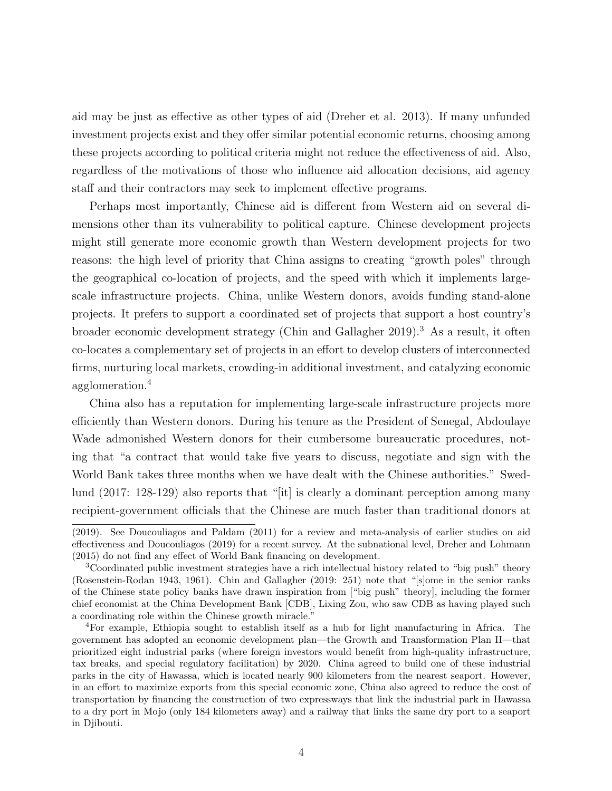aid may be just as effective as other types of aid (Dreher et al. 2013). If many unfunded investment projects exist and they offer similar potential economic returns, choosing among these projects according to political criteria might not reduce the effectiveness of aid. Also, regardless of the motivations of those who influence aid allocation decisions, aid agency staff and their contractors may seek to implement effective programs.

Perhaps most importantly, Chinese aid is different from Western aid on several dimensions other than its vulnerability to political capture. Chinese development projects might still generate more economic growth than Western development projects for two reasons: the high level of priority that China assigns to creating "growth poles" through the geographical co-location of projects, and the speed with which it implements largescale infrastructure projects. China, unlike Western donors, avoids funding stand-alone projects. It prefers to support a coordinated set of projects that support a host country's broader economic development strategy (Chin and Gallagher 2019).<sup>3</sup> As a result, it often co-locates a complementary set of projects in an effort to develop clusters of interconnected firms, nurturing local markets, crowding-in additional investment, and catalyzing economic agglomeration.<sup>4</sup>

China also has a reputation for implementing large-scale infrastructure projects more efficiently than Western donors. During his tenure as the President of Senegal, Abdoulaye Wade admonished Western donors for their cumbersome bureaucratic procedures, noting that "a contract that would take five years to discuss, negotiate and sign with the World Bank takes three months when we have dealt with the Chinese authorities." Swedlund (2017: 128-129) also reports that "[it] is clearly a dominant perception among many recipient-government officials that the Chinese are much faster than traditional donors at

<sup>(2019).</sup> See Doucouliagos and Paldam (2011) for a review and meta-analysis of earlier studies on aid effectiveness and Doucouliagos (2019) for a recent survey. At the subnational level, Dreher and Lohmann (2015) do not find any effect of World Bank financing on development.

<sup>3</sup>Coordinated public investment strategies have a rich intellectual history related to "big push" theory (Rosenstein-Rodan 1943, 1961). Chin and Gallagher (2019: 251) note that "[s]ome in the senior ranks of the Chinese state policy banks have drawn inspiration from ["big push" theory], including the former chief economist at the China Development Bank [CDB], Lixing Zou, who saw CDB as having played such a coordinating role within the Chinese growth miracle."

<sup>4</sup>For example, Ethiopia sought to establish itself as a hub for light manufacturing in Africa. The government has adopted an economic development plan—the Growth and Transformation Plan II—that prioritized eight industrial parks (where foreign investors would benefit from high-quality infrastructure, tax breaks, and special regulatory facilitation) by 2020. China agreed to build one of these industrial parks in the city of Hawassa, which is located nearly 900 kilometers from the nearest seaport. However, in an effort to maximize exports from this special economic zone, China also agreed to reduce the cost of transportation by financing the construction of two expressways that link the industrial park in Hawassa to a dry port in Mojo (only 184 kilometers away) and a railway that links the same dry port to a seaport in Djibouti.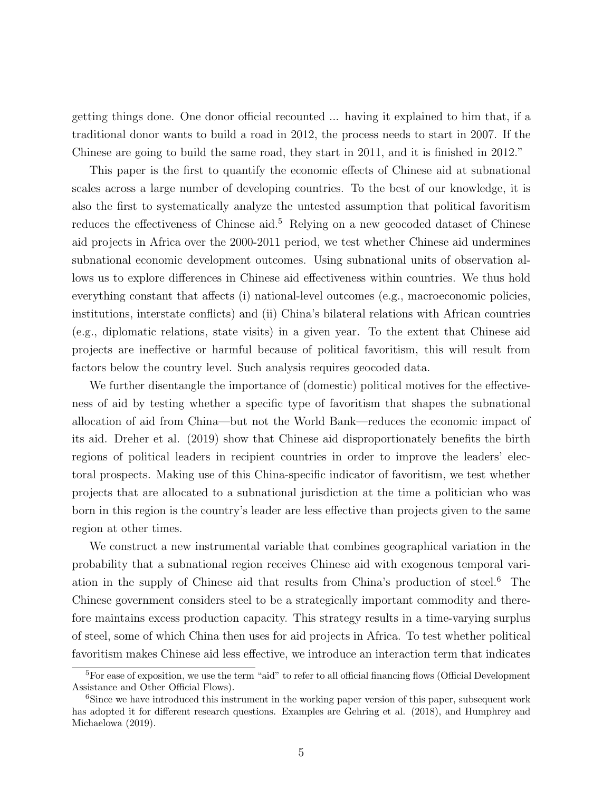getting things done. One donor official recounted ... having it explained to him that, if a traditional donor wants to build a road in 2012, the process needs to start in 2007. If the Chinese are going to build the same road, they start in 2011, and it is finished in 2012."

This paper is the first to quantify the economic effects of Chinese aid at subnational scales across a large number of developing countries. To the best of our knowledge, it is also the first to systematically analyze the untested assumption that political favoritism reduces the effectiveness of Chinese aid.<sup>5</sup> Relying on a new geocoded dataset of Chinese aid projects in Africa over the 2000-2011 period, we test whether Chinese aid undermines subnational economic development outcomes. Using subnational units of observation allows us to explore differences in Chinese aid effectiveness within countries. We thus hold everything constant that affects (i) national-level outcomes (e.g., macroeconomic policies, institutions, interstate conflicts) and (ii) China's bilateral relations with African countries (e.g., diplomatic relations, state visits) in a given year. To the extent that Chinese aid projects are ineffective or harmful because of political favoritism, this will result from factors below the country level. Such analysis requires geocoded data.

We further disentangle the importance of (domestic) political motives for the effectiveness of aid by testing whether a specific type of favoritism that shapes the subnational allocation of aid from China—but not the World Bank—reduces the economic impact of its aid. Dreher et al. (2019) show that Chinese aid disproportionately benefits the birth regions of political leaders in recipient countries in order to improve the leaders' electoral prospects. Making use of this China-specific indicator of favoritism, we test whether projects that are allocated to a subnational jurisdiction at the time a politician who was born in this region is the country's leader are less effective than projects given to the same region at other times.

We construct a new instrumental variable that combines geographical variation in the probability that a subnational region receives Chinese aid with exogenous temporal variation in the supply of Chinese aid that results from China's production of steel.<sup>6</sup> The Chinese government considers steel to be a strategically important commodity and therefore maintains excess production capacity. This strategy results in a time-varying surplus of steel, some of which China then uses for aid projects in Africa. To test whether political favoritism makes Chinese aid less effective, we introduce an interaction term that indicates

<sup>&</sup>lt;sup>5</sup>For ease of exposition, we use the term "aid" to refer to all official financing flows (Official Development Assistance and Other Official Flows).

<sup>&</sup>lt;sup>6</sup>Since we have introduced this instrument in the working paper version of this paper, subsequent work has adopted it for different research questions. Examples are Gehring et al. (2018), and Humphrey and Michaelowa (2019).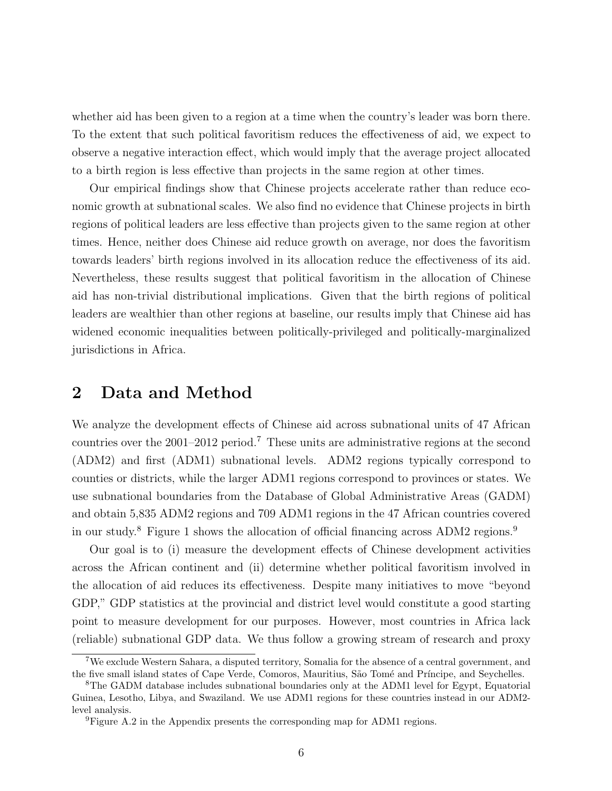whether aid has been given to a region at a time when the country's leader was born there. To the extent that such political favoritism reduces the effectiveness of aid, we expect to observe a negative interaction effect, which would imply that the average project allocated to a birth region is less effective than projects in the same region at other times.

Our empirical findings show that Chinese projects accelerate rather than reduce economic growth at subnational scales. We also find no evidence that Chinese projects in birth regions of political leaders are less effective than projects given to the same region at other times. Hence, neither does Chinese aid reduce growth on average, nor does the favoritism towards leaders' birth regions involved in its allocation reduce the effectiveness of its aid. Nevertheless, these results suggest that political favoritism in the allocation of Chinese aid has non-trivial distributional implications. Given that the birth regions of political leaders are wealthier than other regions at baseline, our results imply that Chinese aid has widened economic inequalities between politically-privileged and politically-marginalized jurisdictions in Africa.

### 2 Data and Method

We analyze the development effects of Chinese aid across subnational units of 47 African countries over the 2001–2012 period.<sup>7</sup> These units are administrative regions at the second (ADM2) and first (ADM1) subnational levels. ADM2 regions typically correspond to counties or districts, while the larger ADM1 regions correspond to provinces or states. We use subnational boundaries from the Database of Global Administrative Areas (GADM) and obtain 5,835 ADM2 regions and 709 ADM1 regions in the 47 African countries covered in our study.<sup>8</sup> Figure 1 shows the allocation of official financing across ADM2 regions.<sup>9</sup>

Our goal is to (i) measure the development effects of Chinese development activities across the African continent and (ii) determine whether political favoritism involved in the allocation of aid reduces its effectiveness. Despite many initiatives to move "beyond GDP," GDP statistics at the provincial and district level would constitute a good starting point to measure development for our purposes. However, most countries in Africa lack (reliable) subnational GDP data. We thus follow a growing stream of research and proxy

<sup>7</sup>We exclude Western Sahara, a disputed territory, Somalia for the absence of a central government, and the five small island states of Cape Verde, Comoros, Mauritius, São Tomé and Príncipe, and Seychelles.

<sup>8</sup>The GADM database includes subnational boundaries only at the ADM1 level for Egypt, Equatorial Guinea, Lesotho, Libya, and Swaziland. We use ADM1 regions for these countries instead in our ADM2 level analysis.

<sup>9</sup>Figure A.2 in the Appendix presents the corresponding map for ADM1 regions.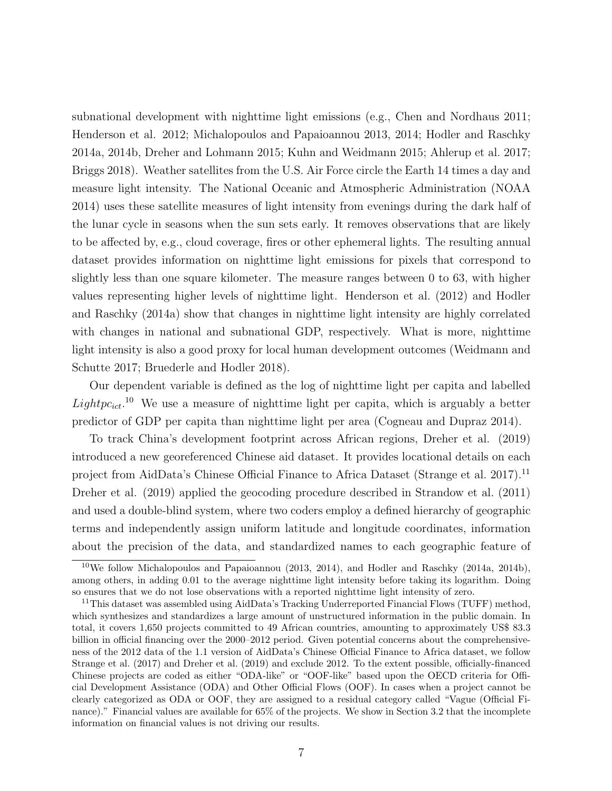subnational development with nighttime light emissions (e.g., Chen and Nordhaus 2011; Henderson et al. 2012; Michalopoulos and Papaioannou 2013, 2014; Hodler and Raschky 2014a, 2014b, Dreher and Lohmann 2015; Kuhn and Weidmann 2015; Ahlerup et al. 2017; Briggs 2018). Weather satellites from the U.S. Air Force circle the Earth 14 times a day and measure light intensity. The National Oceanic and Atmospheric Administration (NOAA 2014) uses these satellite measures of light intensity from evenings during the dark half of the lunar cycle in seasons when the sun sets early. It removes observations that are likely to be affected by, e.g., cloud coverage, fires or other ephemeral lights. The resulting annual dataset provides information on nighttime light emissions for pixels that correspond to slightly less than one square kilometer. The measure ranges between 0 to 63, with higher values representing higher levels of nighttime light. Henderson et al. (2012) and Hodler and Raschky (2014a) show that changes in nighttime light intensity are highly correlated with changes in national and subnational GDP, respectively. What is more, nighttime light intensity is also a good proxy for local human development outcomes (Weidmann and Schutte 2017; Bruederle and Hodler 2018).

Our dependent variable is defined as the log of nighttime light per capita and labelled  $Lightpc_{ict}.$ <sup>10</sup> We use a measure of nighttime light per capita, which is arguably a better predictor of GDP per capita than nighttime light per area (Cogneau and Dupraz 2014).

To track China's development footprint across African regions, Dreher et al. (2019) introduced a new georeferenced Chinese aid dataset. It provides locational details on each project from AidData's Chinese Official Finance to Africa Dataset (Strange et al. 2017).<sup>11</sup> Dreher et al. (2019) applied the geocoding procedure described in Strandow et al. (2011) and used a double-blind system, where two coders employ a defined hierarchy of geographic terms and independently assign uniform latitude and longitude coordinates, information about the precision of the data, and standardized names to each geographic feature of

<sup>&</sup>lt;sup>10</sup>We follow Michalopoulos and Papaioannou (2013, 2014), and Hodler and Raschky (2014a, 2014b), among others, in adding 0.01 to the average nighttime light intensity before taking its logarithm. Doing so ensures that we do not lose observations with a reported nighttime light intensity of zero.

<sup>&</sup>lt;sup>11</sup>This dataset was assembled using AidData's Tracking Underreported Financial Flows (TUFF) method, which synthesizes and standardizes a large amount of unstructured information in the public domain. In total, it covers 1,650 projects committed to 49 African countries, amounting to approximately US\$ 83.3 billion in official financing over the 2000–2012 period. Given potential concerns about the comprehensiveness of the 2012 data of the 1.1 version of AidData's Chinese Official Finance to Africa dataset, we follow Strange et al. (2017) and Dreher et al. (2019) and exclude 2012. To the extent possible, officially-financed Chinese projects are coded as either "ODA-like" or "OOF-like" based upon the OECD criteria for Official Development Assistance (ODA) and Other Official Flows (OOF). In cases when a project cannot be clearly categorized as ODA or OOF, they are assigned to a residual category called "Vague (Official Finance)." Financial values are available for  $65\%$  of the projects. We show in Section 3.2 that the incomplete information on financial values is not driving our results.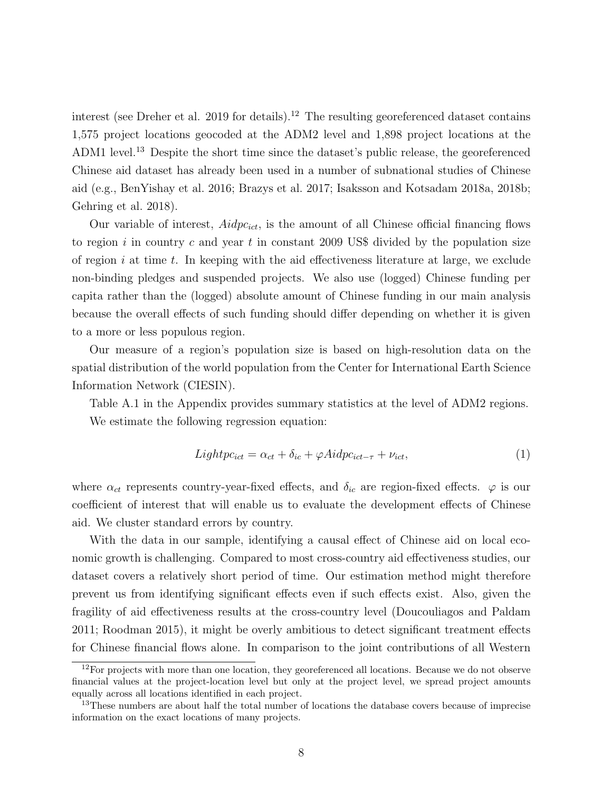interest (see Dreher et al. 2019 for details).<sup>12</sup> The resulting georeferenced dataset contains 1,575 project locations geocoded at the ADM2 level and 1,898 project locations at the ADM1 level.<sup>13</sup> Despite the short time since the dataset's public release, the georeferenced Chinese aid dataset has already been used in a number of subnational studies of Chinese aid (e.g., BenYishay et al. 2016; Brazys et al. 2017; Isaksson and Kotsadam 2018a, 2018b; Gehring et al. 2018).

Our variable of interest,  $Aidpc_{ict}$ , is the amount of all Chinese official financing flows to region i in country c and year t in constant 2009 US\$ divided by the population size of region i at time t. In keeping with the aid effectiveness literature at large, we exclude non-binding pledges and suspended projects. We also use (logged) Chinese funding per capita rather than the (logged) absolute amount of Chinese funding in our main analysis because the overall effects of such funding should differ depending on whether it is given to a more or less populous region.

Our measure of a region's population size is based on high-resolution data on the spatial distribution of the world population from the Center for International Earth Science Information Network (CIESIN).

Table A.1 in the Appendix provides summary statistics at the level of ADM2 regions. We estimate the following regression equation:

$$
Lightpc_{ict} = \alpha_{ct} + \delta_{ic} + \varphi Aidpc_{ict-\tau} + \nu_{ict},\tag{1}
$$

where  $\alpha_{ct}$  represents country-year-fixed effects, and  $\delta_{ic}$  are region-fixed effects.  $\varphi$  is our coefficient of interest that will enable us to evaluate the development effects of Chinese aid. We cluster standard errors by country.

With the data in our sample, identifying a causal effect of Chinese aid on local economic growth is challenging. Compared to most cross-country aid effectiveness studies, our dataset covers a relatively short period of time. Our estimation method might therefore prevent us from identifying significant effects even if such effects exist. Also, given the fragility of aid effectiveness results at the cross-country level (Doucouliagos and Paldam 2011; Roodman 2015), it might be overly ambitious to detect significant treatment effects for Chinese financial flows alone. In comparison to the joint contributions of all Western

 $12$  For projects with more than one location, they georeferenced all locations. Because we do not observe financial values at the project-location level but only at the project level, we spread project amounts equally across all locations identified in each project.

<sup>&</sup>lt;sup>13</sup>These numbers are about half the total number of locations the database covers because of imprecise information on the exact locations of many projects.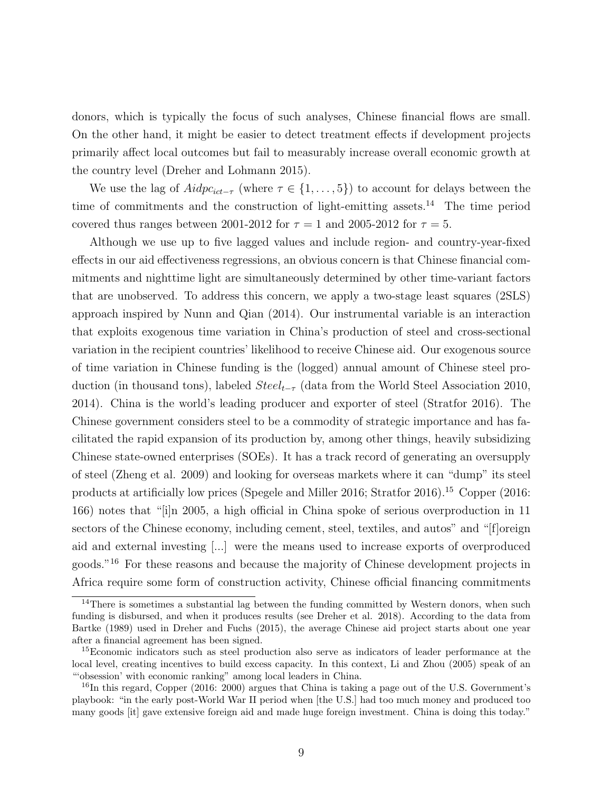donors, which is typically the focus of such analyses, Chinese financial flows are small. On the other hand, it might be easier to detect treatment effects if development projects primarily affect local outcomes but fail to measurably increase overall economic growth at the country level (Dreher and Lohmann 2015).

We use the lag of  $Adjer_{ict-\tau}$  (where  $\tau \in \{1, \ldots, 5\}$ ) to account for delays between the time of commitments and the construction of light-emitting assets.<sup>14</sup> The time period covered thus ranges between 2001-2012 for  $\tau = 1$  and 2005-2012 for  $\tau = 5$ .

Although we use up to five lagged values and include region- and country-year-fixed effects in our aid effectiveness regressions, an obvious concern is that Chinese financial commitments and nighttime light are simultaneously determined by other time-variant factors that are unobserved. To address this concern, we apply a two-stage least squares (2SLS) approach inspired by Nunn and Qian (2014). Our instrumental variable is an interaction that exploits exogenous time variation in China's production of steel and cross-sectional variation in the recipient countries' likelihood to receive Chinese aid. Our exogenous source of time variation in Chinese funding is the (logged) annual amount of Chinese steel production (in thousand tons), labeled  $Steel_{t-\tau}$  (data from the World Steel Association 2010, 2014). China is the world's leading producer and exporter of steel (Stratfor 2016). The Chinese government considers steel to be a commodity of strategic importance and has facilitated the rapid expansion of its production by, among other things, heavily subsidizing Chinese state-owned enterprises (SOEs). It has a track record of generating an oversupply of steel (Zheng et al. 2009) and looking for overseas markets where it can "dump" its steel products at artificially low prices (Spegele and Miller 2016; Stratfor 2016).<sup>15</sup> Copper (2016: 166) notes that "[i]n 2005, a high official in China spoke of serious overproduction in 11 sectors of the Chinese economy, including cement, steel, textiles, and autos" and "[f]oreign aid and external investing [...] were the means used to increase exports of overproduced goods."<sup>16</sup> For these reasons and because the majority of Chinese development projects in Africa require some form of construction activity, Chinese official financing commitments

<sup>&</sup>lt;sup>14</sup>There is sometimes a substantial lag between the funding committed by Western donors, when such funding is disbursed, and when it produces results (see Dreher et al. 2018). According to the data from Bartke (1989) used in Dreher and Fuchs (2015), the average Chinese aid project starts about one year after a financial agreement has been signed.

<sup>&</sup>lt;sup>15</sup>Economic indicators such as steel production also serve as indicators of leader performance at the local level, creating incentives to build excess capacity. In this context, Li and Zhou (2005) speak of an "'obsession' with economic ranking" among local leaders in China.

 $^{16}$ In this regard, Copper (2016: 2000) argues that China is taking a page out of the U.S. Government's playbook: "in the early post-World War II period when [the U.S.] had too much money and produced too many goods [it] gave extensive foreign aid and made huge foreign investment. China is doing this today."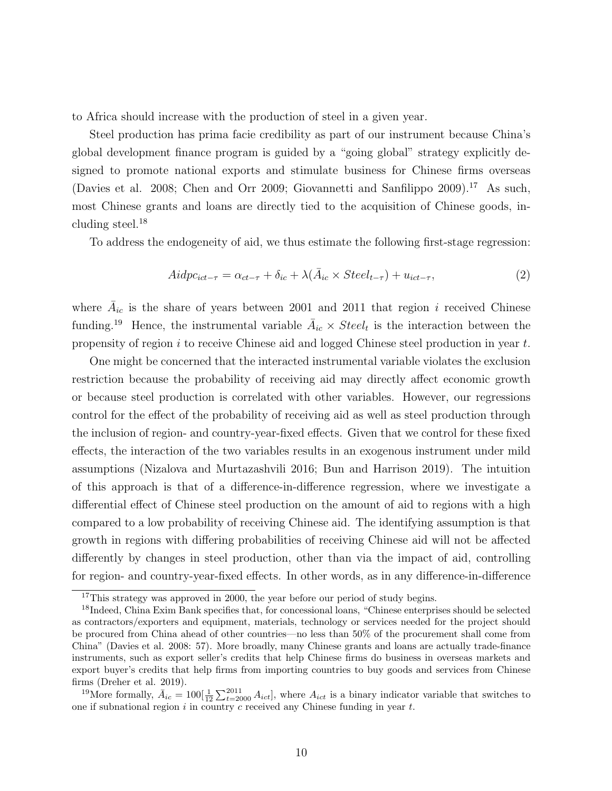to Africa should increase with the production of steel in a given year.

Steel production has prima facie credibility as part of our instrument because China's global development finance program is guided by a "going global" strategy explicitly designed to promote national exports and stimulate business for Chinese firms overseas (Davies et al. 2008; Chen and Orr 2009; Giovannetti and Sanfilippo 2009).<sup>17</sup> As such, most Chinese grants and loans are directly tied to the acquisition of Chinese goods, including steel. $^{18}$ 

To address the endogeneity of aid, we thus estimate the following first-stage regression:

$$
Aidpc_{ict-\tau} = \alpha_{ct-\tau} + \delta_{ic} + \lambda(\bar{A}_{ic} \times Steel_{t-\tau}) + u_{ict-\tau},\tag{2}
$$

where  $\bar{A}_{ic}$  is the share of years between 2001 and 2011 that region i received Chinese funding.<sup>19</sup> Hence, the instrumental variable  $\bar{A}_{ic} \times \textit{Steel}_t$  is the interaction between the propensity of region  $i$  to receive Chinese aid and logged Chinese steel production in year  $t$ .

One might be concerned that the interacted instrumental variable violates the exclusion restriction because the probability of receiving aid may directly affect economic growth or because steel production is correlated with other variables. However, our regressions control for the effect of the probability of receiving aid as well as steel production through the inclusion of region- and country-year-fixed effects. Given that we control for these fixed effects, the interaction of the two variables results in an exogenous instrument under mild assumptions (Nizalova and Murtazashvili 2016; Bun and Harrison 2019). The intuition of this approach is that of a difference-in-difference regression, where we investigate a differential effect of Chinese steel production on the amount of aid to regions with a high compared to a low probability of receiving Chinese aid. The identifying assumption is that growth in regions with differing probabilities of receiving Chinese aid will not be affected differently by changes in steel production, other than via the impact of aid, controlling for region- and country-year-fixed effects. In other words, as in any difference-in-difference

<sup>&</sup>lt;sup>17</sup>This strategy was approved in 2000, the year before our period of study begins.

<sup>&</sup>lt;sup>18</sup>Indeed, China Exim Bank specifies that, for concessional loans, "Chinese enterprises should be selected as contractors/exporters and equipment, materials, technology or services needed for the project should be procured from China ahead of other countries—no less than 50% of the procurement shall come from China" (Davies et al. 2008: 57). More broadly, many Chinese grants and loans are actually trade-finance instruments, such as export seller's credits that help Chinese firms do business in overseas markets and export buyer's credits that help firms from importing countries to buy goods and services from Chinese firms (Dreher et al. 2019).

<sup>&</sup>lt;sup>19</sup>More formally,  $\bar{A}_{ic} = 100[\frac{1}{12}\sum_{t=2000}^{2011} A_{ict}]$ , where  $A_{ict}$  is a binary indicator variable that switches to one if subnational region  $i$  in country  $c$  received any Chinese funding in year  $t$ .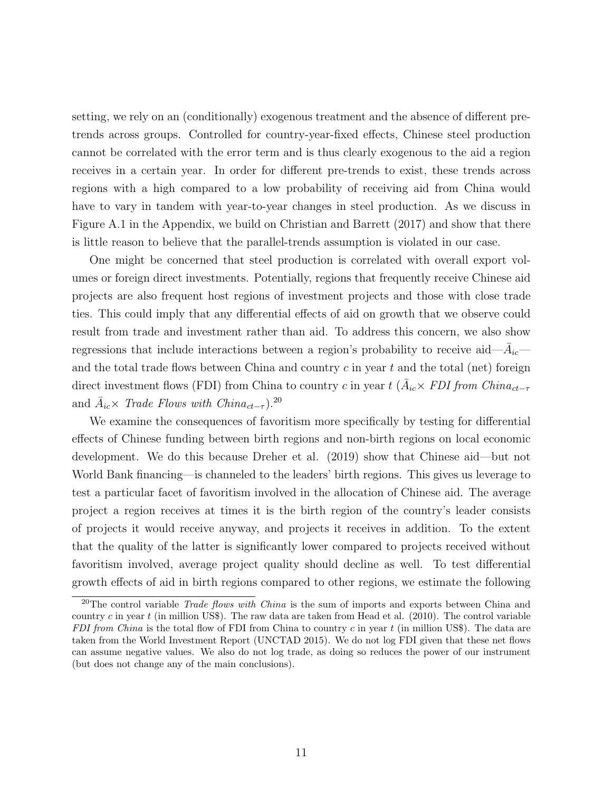setting, we rely on an (conditionally) exogenous treatment and the absence of different pretrends across groups. Controlled for country-year-fixed effects, Chinese steel production cannot be correlated with the error term and is thus clearly exogenous to the aid a region receives in a certain year. In order for different pre-trends to exist, these trends across regions with a high compared to a low probability of receiving aid from China would have to vary in tandem with year-to-year changes in steel production. As we discuss in Figure A.1 in the Appendix, we build on Christian and Barrett (2017) and show that there is little reason to believe that the parallel-trends assumption is violated in our case.

One might be concerned that steel production is correlated with overall export volumes or foreign direct investments. Potentially, regions that frequently receive Chinese aid projects are also frequent host regions of investment projects and those with close trade ties. This could imply that any differential effects of aid on growth that we observe could result from trade and investment rather than aid. To address this concern, we also show regressions that include interactions between a region's probability to receive aid— $\bar{A}_{ic}$  and the total trade flows between China and country  $c$  in year  $t$  and the total (net) foreign direct investment flows (FDI) from China to country c in year  $t$  ( $\bar{A}_{ic} \times FDI$  from China<sub>ct-τ</sub> and  $\bar{A}_{ic} \times$  Trade Flows with China<sub>ct-τ</sub>).<sup>20</sup>

We examine the consequences of favoritism more specifically by testing for differential effects of Chinese funding between birth regions and non-birth regions on local economic development. We do this because Dreher et al. (2019) show that Chinese aid—but not World Bank financing—is channeled to the leaders' birth regions. This gives us leverage to test a particular facet of favoritism involved in the allocation of Chinese aid. The average project a region receives at times it is the birth region of the country's leader consists of projects it would receive anyway, and projects it receives in addition. To the extent that the quality of the latter is significantly lower compared to projects received without favoritism involved, average project quality should decline as well. To test differential growth effects of aid in birth regions compared to other regions, we estimate the following

<sup>&</sup>lt;sup>20</sup>The control variable *Trade flows with China* is the sum of imports and exports between China and country c in year t (in million US\$). The raw data are taken from Head et al.  $(2010)$ . The control variable FDI from China is the total flow of FDI from China to country c in year  $t$  (in million US\$). The data are taken from the World Investment Report (UNCTAD 2015). We do not log FDI given that these net flows can assume negative values. We also do not log trade, as doing so reduces the power of our instrument (but does not change any of the main conclusions).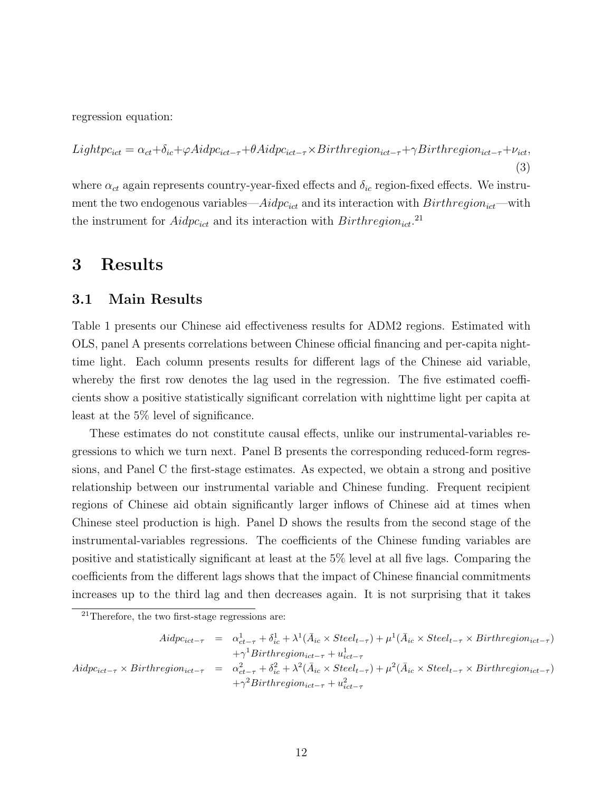regression equation:

$$
Lightpc_{ict} = \alpha_{ct} + \delta_{ic} + \varphi Aidpc_{ict-\tau} + \theta Aidpc_{ict-\tau} \times Birthregion_{ict-\tau} + \gamma Birthregion_{ict-\tau} + \nu_{ict},
$$
\n(3)

where  $\alpha_{ct}$  again represents country-year-fixed effects and  $\delta_{ic}$  region-fixed effects. We instrument the two endogenous variables— $Aidpc_{ict}$  and its interaction with  $Birthregion_{ict}$ —with the instrument for  $Aidpc_{ict}$  and its interaction with  $Birthregion_{ict}.$ <sup>21</sup>

### 3 Results

#### 3.1 Main Results

Table 1 presents our Chinese aid effectiveness results for ADM2 regions. Estimated with OLS, panel A presents correlations between Chinese official financing and per-capita nighttime light. Each column presents results for different lags of the Chinese aid variable, whereby the first row denotes the lag used in the regression. The five estimated coefficients show a positive statistically significant correlation with nighttime light per capita at least at the 5% level of significance.

These estimates do not constitute causal effects, unlike our instrumental-variables regressions to which we turn next. Panel B presents the corresponding reduced-form regressions, and Panel C the first-stage estimates. As expected, we obtain a strong and positive relationship between our instrumental variable and Chinese funding. Frequent recipient regions of Chinese aid obtain significantly larger inflows of Chinese aid at times when Chinese steel production is high. Panel D shows the results from the second stage of the instrumental-variables regressions. The coefficients of the Chinese funding variables are positive and statistically significant at least at the 5% level at all five lags. Comparing the coefficients from the different lags shows that the impact of Chinese financial commitments increases up to the third lag and then decreases again. It is not surprising that it takes

$$
Aidpc_{ict-\tau} = \alpha_{ct-\tau}^{1} + \delta_{ic}^{1} + \lambda^{1}(\bar{A}_{ic} \times Steel_{t-\tau}) + \mu^{1}(\bar{A}_{ic} \times Steel_{t-\tau} \times Birthregion_{ict-\tau})
$$
  
\n
$$
+ \gamma^{1} Birthregion_{ict-\tau} + u_{ict-\tau}^{1}
$$
  
\n
$$
Aidpc_{ict-\tau} \times Birthregion_{ict-\tau} = \alpha_{ct-\tau}^{2} + \delta_{ic}^{2} + \lambda^{2}(\bar{A}_{ic} \times Steel_{t-\tau}) + \mu^{2}(\bar{A}_{ic} \times Steel_{t-\tau} \times Birthregion_{ict-\tau})
$$
  
\n
$$
+ \gamma^{2} Birthregion_{ict-\tau} + u_{ict-\tau}^{2}
$$

 $21$ Therefore, the two first-stage regressions are: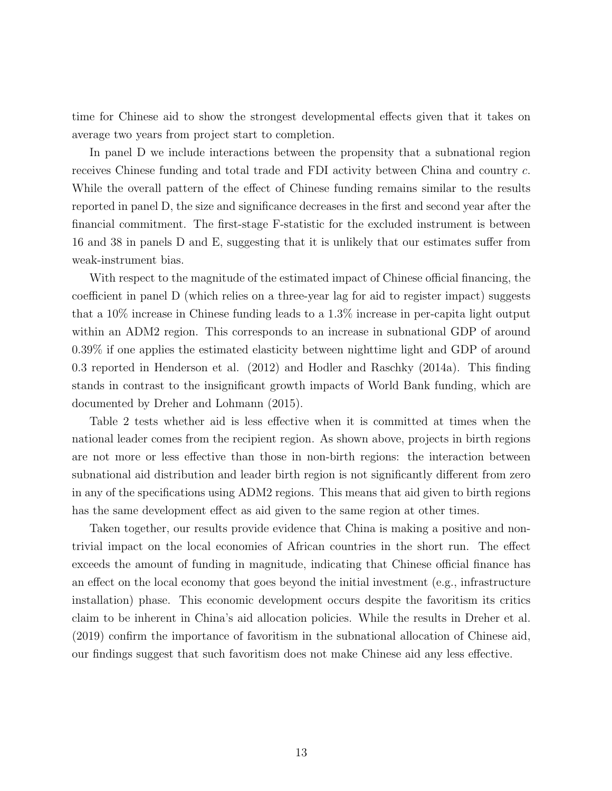time for Chinese aid to show the strongest developmental effects given that it takes on average two years from project start to completion.

In panel D we include interactions between the propensity that a subnational region receives Chinese funding and total trade and FDI activity between China and country c. While the overall pattern of the effect of Chinese funding remains similar to the results reported in panel D, the size and significance decreases in the first and second year after the financial commitment. The first-stage F-statistic for the excluded instrument is between 16 and 38 in panels D and E, suggesting that it is unlikely that our estimates suffer from weak-instrument bias.

With respect to the magnitude of the estimated impact of Chinese official financing, the coefficient in panel D (which relies on a three-year lag for aid to register impact) suggests that a 10% increase in Chinese funding leads to a 1.3% increase in per-capita light output within an ADM2 region. This corresponds to an increase in subnational GDP of around 0.39% if one applies the estimated elasticity between nighttime light and GDP of around 0.3 reported in Henderson et al. (2012) and Hodler and Raschky (2014a). This finding stands in contrast to the insignificant growth impacts of World Bank funding, which are documented by Dreher and Lohmann (2015).

Table 2 tests whether aid is less effective when it is committed at times when the national leader comes from the recipient region. As shown above, projects in birth regions are not more or less effective than those in non-birth regions: the interaction between subnational aid distribution and leader birth region is not significantly different from zero in any of the specifications using ADM2 regions. This means that aid given to birth regions has the same development effect as aid given to the same region at other times.

Taken together, our results provide evidence that China is making a positive and nontrivial impact on the local economies of African countries in the short run. The effect exceeds the amount of funding in magnitude, indicating that Chinese official finance has an effect on the local economy that goes beyond the initial investment (e.g., infrastructure installation) phase. This economic development occurs despite the favoritism its critics claim to be inherent in China's aid allocation policies. While the results in Dreher et al. (2019) confirm the importance of favoritism in the subnational allocation of Chinese aid, our findings suggest that such favoritism does not make Chinese aid any less effective.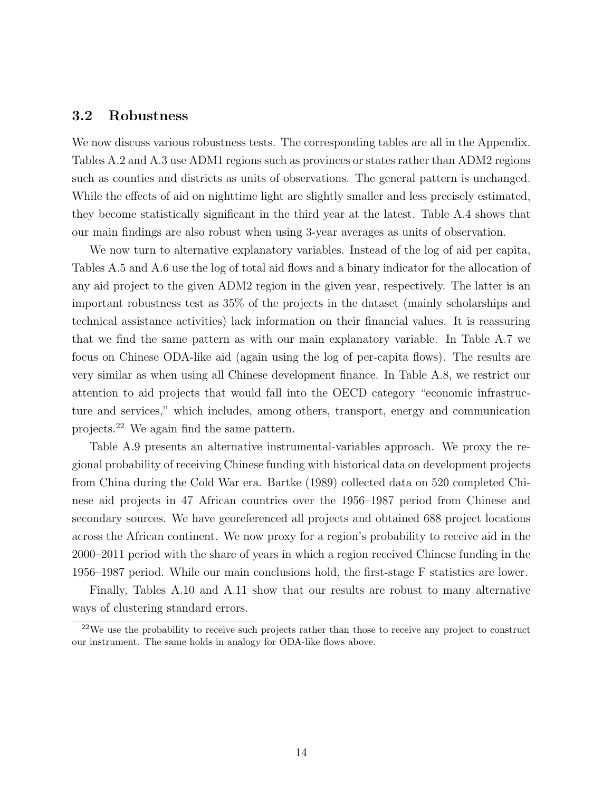### 3.2 Robustness

We now discuss various robustness tests. The corresponding tables are all in the Appendix. Tables A.2 and A.3 use ADM1 regions such as provinces or states rather than ADM2 regions such as counties and districts as units of observations. The general pattern is unchanged. While the effects of aid on nighttime light are slightly smaller and less precisely estimated, they become statistically significant in the third year at the latest. Table A.4 shows that our main findings are also robust when using 3-year averages as units of observation.

We now turn to alternative explanatory variables. Instead of the log of aid per capita, Tables A.5 and A.6 use the log of total aid flows and a binary indicator for the allocation of any aid project to the given ADM2 region in the given year, respectively. The latter is an important robustness test as 35% of the projects in the dataset (mainly scholarships and technical assistance activities) lack information on their financial values. It is reassuring that we find the same pattern as with our main explanatory variable. In Table A.7 we focus on Chinese ODA-like aid (again using the log of per-capita flows). The results are very similar as when using all Chinese development finance. In Table A.8, we restrict our attention to aid projects that would fall into the OECD category "economic infrastructure and services," which includes, among others, transport, energy and communication projects.<sup>22</sup> We again find the same pattern.

Table A.9 presents an alternative instrumental-variables approach. We proxy the regional probability of receiving Chinese funding with historical data on development projects from China during the Cold War era. Bartke (1989) collected data on 520 completed Chinese aid projects in 47 African countries over the 1956–1987 period from Chinese and secondary sources. We have georeferenced all projects and obtained 688 project locations across the African continent. We now proxy for a region's probability to receive aid in the 2000–2011 period with the share of years in which a region received Chinese funding in the 1956–1987 period. While our main conclusions hold, the first-stage F statistics are lower.

Finally, Tables A.10 and A.11 show that our results are robust to many alternative ways of clustering standard errors.

 $^{22}$ We use the probability to receive such projects rather than those to receive any project to construct our instrument. The same holds in analogy for ODA-like flows above.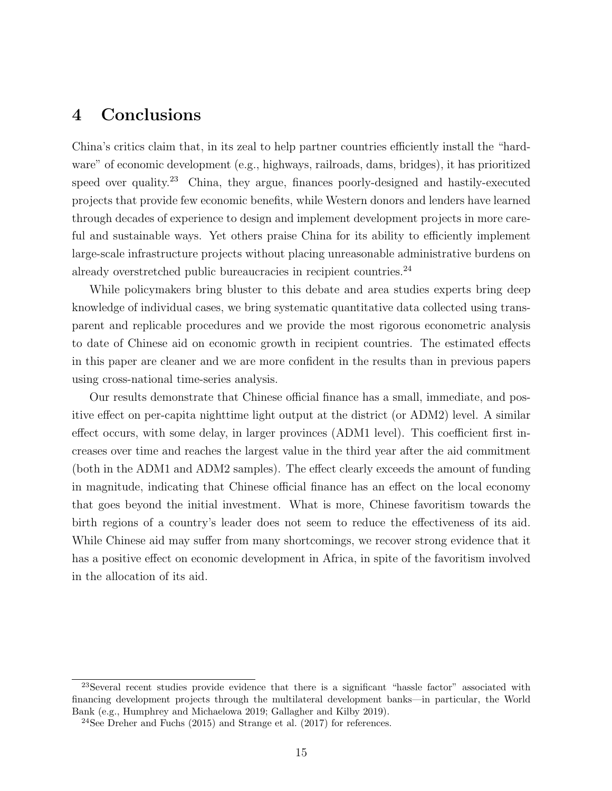## 4 Conclusions

China's critics claim that, in its zeal to help partner countries efficiently install the "hardware" of economic development (e.g., highways, railroads, dams, bridges), it has prioritized speed over quality.<sup>23</sup> China, they argue, finances poorly-designed and hastily-executed projects that provide few economic benefits, while Western donors and lenders have learned through decades of experience to design and implement development projects in more careful and sustainable ways. Yet others praise China for its ability to efficiently implement large-scale infrastructure projects without placing unreasonable administrative burdens on already overstretched public bureaucracies in recipient countries.<sup>24</sup>

While policymakers bring bluster to this debate and area studies experts bring deep knowledge of individual cases, we bring systematic quantitative data collected using transparent and replicable procedures and we provide the most rigorous econometric analysis to date of Chinese aid on economic growth in recipient countries. The estimated effects in this paper are cleaner and we are more confident in the results than in previous papers using cross-national time-series analysis.

Our results demonstrate that Chinese official finance has a small, immediate, and positive effect on per-capita nighttime light output at the district (or ADM2) level. A similar effect occurs, with some delay, in larger provinces (ADM1 level). This coefficient first increases over time and reaches the largest value in the third year after the aid commitment (both in the ADM1 and ADM2 samples). The effect clearly exceeds the amount of funding in magnitude, indicating that Chinese official finance has an effect on the local economy that goes beyond the initial investment. What is more, Chinese favoritism towards the birth regions of a country's leader does not seem to reduce the effectiveness of its aid. While Chinese aid may suffer from many shortcomings, we recover strong evidence that it has a positive effect on economic development in Africa, in spite of the favoritism involved in the allocation of its aid.

<sup>&</sup>lt;sup>23</sup>Several recent studies provide evidence that there is a significant "hassle factor" associated with financing development projects through the multilateral development banks—in particular, the World Bank (e.g., Humphrey and Michaelowa 2019; Gallagher and Kilby 2019).

 $24$ See Dreher and Fuchs (2015) and Strange et al. (2017) for references.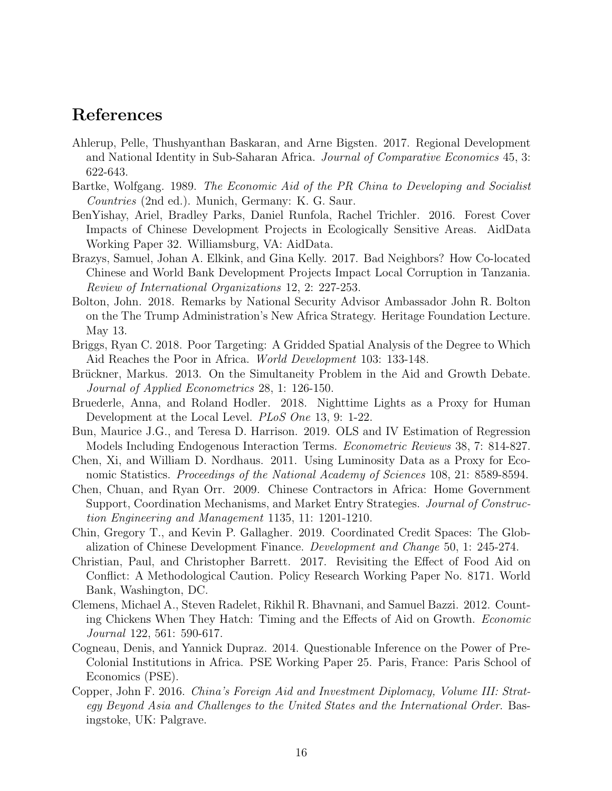### References

- Ahlerup, Pelle, Thushyanthan Baskaran, and Arne Bigsten. 2017. Regional Development and National Identity in Sub-Saharan Africa. Journal of Comparative Economics 45, 3: 622-643.
- Bartke, Wolfgang. 1989. The Economic Aid of the PR China to Developing and Socialist Countries (2nd ed.). Munich, Germany: K. G. Saur.
- BenYishay, Ariel, Bradley Parks, Daniel Runfola, Rachel Trichler. 2016. Forest Cover Impacts of Chinese Development Projects in Ecologically Sensitive Areas. AidData Working Paper 32. Williamsburg, VA: AidData.
- Brazys, Samuel, Johan A. Elkink, and Gina Kelly. 2017. Bad Neighbors? How Co-located Chinese and World Bank Development Projects Impact Local Corruption in Tanzania. Review of International Organizations 12, 2: 227-253.
- Bolton, John. 2018. Remarks by National Security Advisor Ambassador John R. Bolton on the The Trump Administration's New Africa Strategy. Heritage Foundation Lecture. May 13.
- Briggs, Ryan C. 2018. Poor Targeting: A Gridded Spatial Analysis of the Degree to Which Aid Reaches the Poor in Africa. World Development 103: 133-148.
- Brückner, Markus. 2013. On the Simultaneity Problem in the Aid and Growth Debate. Journal of Applied Econometrics 28, 1: 126-150.
- Bruederle, Anna, and Roland Hodler. 2018. Nighttime Lights as a Proxy for Human Development at the Local Level. PLoS One 13, 9: 1-22.
- Bun, Maurice J.G., and Teresa D. Harrison. 2019. OLS and IV Estimation of Regression Models Including Endogenous Interaction Terms. Econometric Reviews 38, 7: 814-827.
- Chen, Xi, and William D. Nordhaus. 2011. Using Luminosity Data as a Proxy for Economic Statistics. Proceedings of the National Academy of Sciences 108, 21: 8589-8594.
- Chen, Chuan, and Ryan Orr. 2009. Chinese Contractors in Africa: Home Government Support, Coordination Mechanisms, and Market Entry Strategies. Journal of Construction Engineering and Management 1135, 11: 1201-1210.
- Chin, Gregory T., and Kevin P. Gallagher. 2019. Coordinated Credit Spaces: The Globalization of Chinese Development Finance. Development and Change 50, 1: 245-274.
- Christian, Paul, and Christopher Barrett. 2017. Revisiting the Effect of Food Aid on Conflict: A Methodological Caution. Policy Research Working Paper No. 8171. World Bank, Washington, DC.
- Clemens, Michael A., Steven Radelet, Rikhil R. Bhavnani, and Samuel Bazzi. 2012. Counting Chickens When They Hatch: Timing and the Effects of Aid on Growth. Economic Journal 122, 561: 590-617.
- Cogneau, Denis, and Yannick Dupraz. 2014. Questionable Inference on the Power of Pre-Colonial Institutions in Africa. PSE Working Paper 25. Paris, France: Paris School of Economics (PSE).
- Copper, John F. 2016. China's Foreign Aid and Investment Diplomacy, Volume III: Strategy Beyond Asia and Challenges to the United States and the International Order. Basingstoke, UK: Palgrave.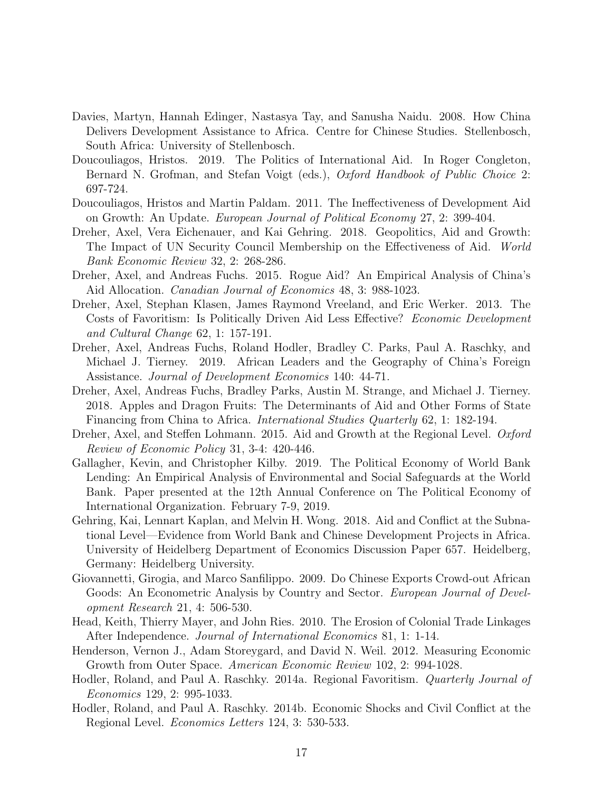- Davies, Martyn, Hannah Edinger, Nastasya Tay, and Sanusha Naidu. 2008. How China Delivers Development Assistance to Africa. Centre for Chinese Studies. Stellenbosch, South Africa: University of Stellenbosch.
- Doucouliagos, Hristos. 2019. The Politics of International Aid. In Roger Congleton, Bernard N. Grofman, and Stefan Voigt (eds.), *Oxford Handbook of Public Choice* 2: 697-724.
- Doucouliagos, Hristos and Martin Paldam. 2011. The Ineffectiveness of Development Aid on Growth: An Update. European Journal of Political Economy 27, 2: 399-404.
- Dreher, Axel, Vera Eichenauer, and Kai Gehring. 2018. Geopolitics, Aid and Growth: The Impact of UN Security Council Membership on the Effectiveness of Aid. World Bank Economic Review 32, 2: 268-286.
- Dreher, Axel, and Andreas Fuchs. 2015. Rogue Aid? An Empirical Analysis of China's Aid Allocation. Canadian Journal of Economics 48, 3: 988-1023.
- Dreher, Axel, Stephan Klasen, James Raymond Vreeland, and Eric Werker. 2013. The Costs of Favoritism: Is Politically Driven Aid Less Effective? Economic Development and Cultural Change 62, 1: 157-191.
- Dreher, Axel, Andreas Fuchs, Roland Hodler, Bradley C. Parks, Paul A. Raschky, and Michael J. Tierney. 2019. African Leaders and the Geography of China's Foreign Assistance. Journal of Development Economics 140: 44-71.
- Dreher, Axel, Andreas Fuchs, Bradley Parks, Austin M. Strange, and Michael J. Tierney. 2018. Apples and Dragon Fruits: The Determinants of Aid and Other Forms of State Financing from China to Africa. International Studies Quarterly 62, 1: 182-194.
- Dreher, Axel, and Steffen Lohmann. 2015. Aid and Growth at the Regional Level. Oxford Review of Economic Policy 31, 3-4: 420-446.
- Gallagher, Kevin, and Christopher Kilby. 2019. The Political Economy of World Bank Lending: An Empirical Analysis of Environmental and Social Safeguards at the World Bank. Paper presented at the 12th Annual Conference on The Political Economy of International Organization. February 7-9, 2019.
- Gehring, Kai, Lennart Kaplan, and Melvin H. Wong. 2018. Aid and Conflict at the Subnational Level—Evidence from World Bank and Chinese Development Projects in Africa. University of Heidelberg Department of Economics Discussion Paper 657. Heidelberg, Germany: Heidelberg University.
- Giovannetti, Girogia, and Marco Sanfilippo. 2009. Do Chinese Exports Crowd-out African Goods: An Econometric Analysis by Country and Sector. European Journal of Development Research 21, 4: 506-530.
- Head, Keith, Thierry Mayer, and John Ries. 2010. The Erosion of Colonial Trade Linkages After Independence. Journal of International Economics 81, 1: 1-14.
- Henderson, Vernon J., Adam Storeygard, and David N. Weil. 2012. Measuring Economic Growth from Outer Space. American Economic Review 102, 2: 994-1028.
- Hodler, Roland, and Paul A. Raschky. 2014a. Regional Favoritism. Quarterly Journal of Economics 129, 2: 995-1033.
- Hodler, Roland, and Paul A. Raschky. 2014b. Economic Shocks and Civil Conflict at the Regional Level. Economics Letters 124, 3: 530-533.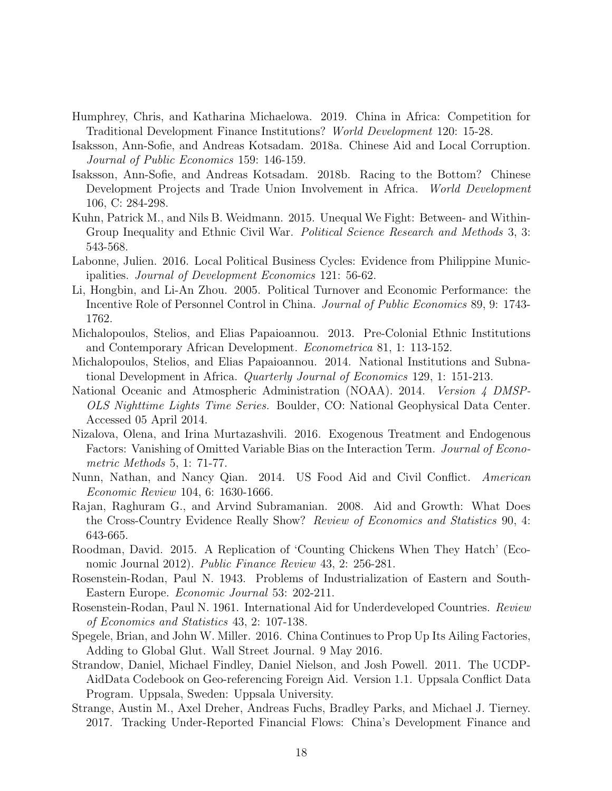- Humphrey, Chris, and Katharina Michaelowa. 2019. China in Africa: Competition for Traditional Development Finance Institutions? World Development 120: 15-28.
- Isaksson, Ann-Sofie, and Andreas Kotsadam. 2018a. Chinese Aid and Local Corruption. Journal of Public Economics 159: 146-159.
- Isaksson, Ann-Sofie, and Andreas Kotsadam. 2018b. Racing to the Bottom? Chinese Development Projects and Trade Union Involvement in Africa. World Development 106, C: 284-298.
- Kuhn, Patrick M., and Nils B. Weidmann. 2015. Unequal We Fight: Between- and Within-Group Inequality and Ethnic Civil War. *Political Science Research and Methods* 3, 3: 543-568.
- Labonne, Julien. 2016. Local Political Business Cycles: Evidence from Philippine Municipalities. Journal of Development Economics 121: 56-62.
- Li, Hongbin, and Li-An Zhou. 2005. Political Turnover and Economic Performance: the Incentive Role of Personnel Control in China. Journal of Public Economics 89, 9: 1743- 1762.
- Michalopoulos, Stelios, and Elias Papaioannou. 2013. Pre-Colonial Ethnic Institutions and Contemporary African Development. Econometrica 81, 1: 113-152.
- Michalopoulos, Stelios, and Elias Papaioannou. 2014. National Institutions and Subnational Development in Africa. Quarterly Journal of Economics 129, 1: 151-213.
- National Oceanic and Atmospheric Administration (NOAA). 2014. Version 4 DMSP-OLS Nighttime Lights Time Series. Boulder, CO: National Geophysical Data Center. Accessed 05 April 2014.
- Nizalova, Olena, and Irina Murtazashvili. 2016. Exogenous Treatment and Endogenous Factors: Vanishing of Omitted Variable Bias on the Interaction Term. Journal of Econometric Methods 5, 1: 71-77.
- Nunn, Nathan, and Nancy Qian. 2014. US Food Aid and Civil Conflict. American Economic Review 104, 6: 1630-1666.
- Rajan, Raghuram G., and Arvind Subramanian. 2008. Aid and Growth: What Does the Cross-Country Evidence Really Show? Review of Economics and Statistics 90, 4: 643-665.
- Roodman, David. 2015. A Replication of 'Counting Chickens When They Hatch' (Economic Journal 2012). Public Finance Review 43, 2: 256-281.
- Rosenstein-Rodan, Paul N. 1943. Problems of Industrialization of Eastern and South-Eastern Europe. Economic Journal 53: 202-211.
- Rosenstein-Rodan, Paul N. 1961. International Aid for Underdeveloped Countries. Review of Economics and Statistics 43, 2: 107-138.
- Spegele, Brian, and John W. Miller. 2016. China Continues to Prop Up Its Ailing Factories, Adding to Global Glut. Wall Street Journal. 9 May 2016.
- Strandow, Daniel, Michael Findley, Daniel Nielson, and Josh Powell. 2011. The UCDP-AidData Codebook on Geo-referencing Foreign Aid. Version 1.1. Uppsala Conflict Data Program. Uppsala, Sweden: Uppsala University.
- Strange, Austin M., Axel Dreher, Andreas Fuchs, Bradley Parks, and Michael J. Tierney. 2017. Tracking Under-Reported Financial Flows: China's Development Finance and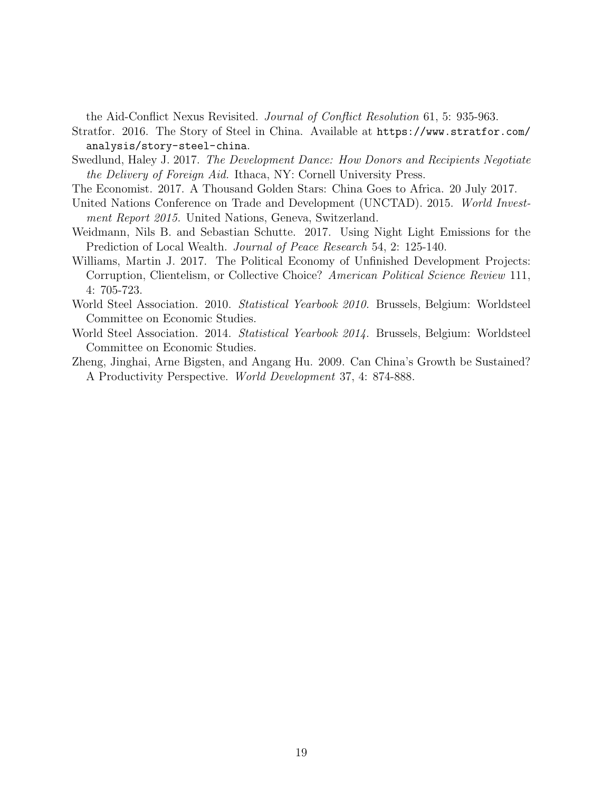the Aid-Conflict Nexus Revisited. Journal of Conflict Resolution 61, 5: 935-963.

- Stratfor. 2016. The Story of Steel in China. Available at https://www.stratfor.com/ analysis/story-steel-china.
- Swedlund, Haley J. 2017. The Development Dance: How Donors and Recipients Negotiate the Delivery of Foreign Aid. Ithaca, NY: Cornell University Press.
- The Economist. 2017. A Thousand Golden Stars: China Goes to Africa. 20 July 2017.
- United Nations Conference on Trade and Development (UNCTAD). 2015. World Investment Report 2015. United Nations, Geneva, Switzerland.
- Weidmann, Nils B. and Sebastian Schutte. 2017. Using Night Light Emissions for the Prediction of Local Wealth. Journal of Peace Research 54, 2: 125-140.
- Williams, Martin J. 2017. The Political Economy of Unfinished Development Projects: Corruption, Clientelism, or Collective Choice? American Political Science Review 111, 4: 705-723.
- World Steel Association. 2010. *Statistical Yearbook 2010*. Brussels, Belgium: Worldsteel Committee on Economic Studies.
- World Steel Association. 2014. Statistical Yearbook 2014. Brussels, Belgium: Worldsteel Committee on Economic Studies.
- Zheng, Jinghai, Arne Bigsten, and Angang Hu. 2009. Can China's Growth be Sustained? A Productivity Perspective. World Development 37, 4: 874-888.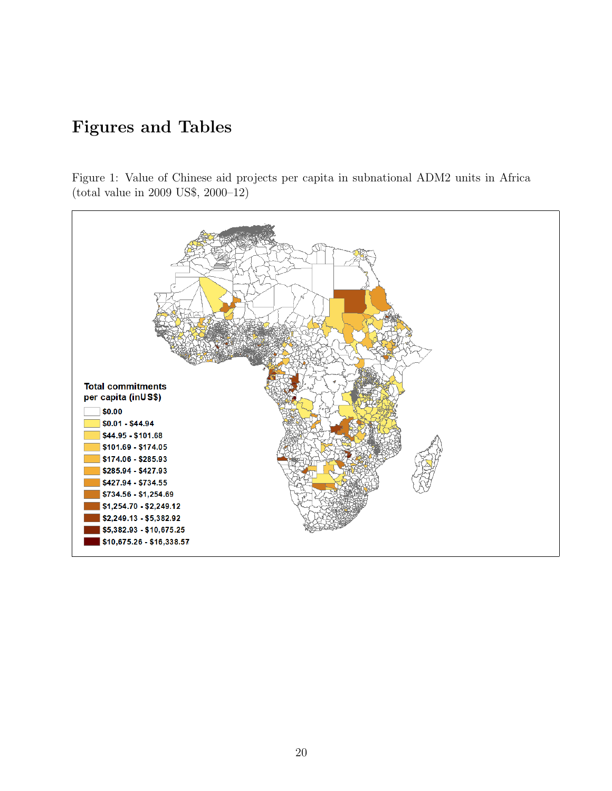# Figures and Tables

Figure 1: Value of Chinese aid projects per capita in subnational ADM2 units in Africa (total value in 2009 US\$, 2000–12)

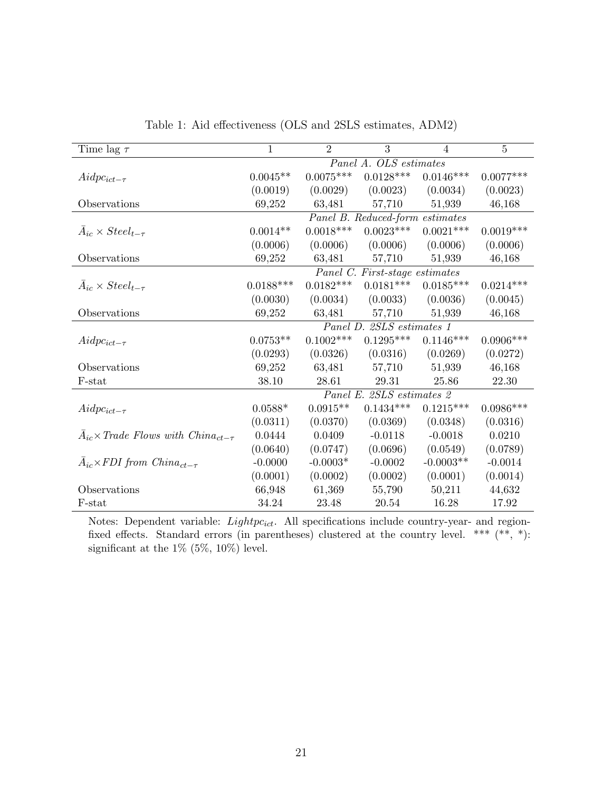| Time lag $\tau$                                                         | $\mathbf{1}$ | $\overline{2}$ | $\overline{3}$                  | $\overline{4}$ | $\overline{5}$ |
|-------------------------------------------------------------------------|--------------|----------------|---------------------------------|----------------|----------------|
|                                                                         |              |                | Panel A. OLS estimates          |                |                |
| $Aidpc_{ict-\tau}$                                                      | $0.0045**$   | $0.0075***$    | $0.0128^{\ast\ast\ast}$         | $0.0146***$    | $0.0077***$    |
|                                                                         | (0.0019)     | (0.0029)       | (0.0023)                        | (0.0034)       | (0.0023)       |
| Observations                                                            | 69,252       | 63,481         | 57,710                          | 51,939         | 46,168         |
|                                                                         |              |                | Panel B. Reduced-form estimates |                |                |
| $A_{ic} \times Steel_{t-\tau}$                                          | $0.0014**$   | $0.0018***$    | $0.0023***$                     | $0.0021***$    | $0.0019***$    |
|                                                                         | (0.0006)     | (0.0006)       | (0.0006)                        | (0.0006)       | (0.0006)       |
| Observations                                                            | 69,252       | 63,481         | 57,710                          | 51,939         | 46,168         |
|                                                                         |              |                | Panel C. First-stage estimates  |                |                |
| $A_{ic} \times Steel_{t-\tau}$                                          | $0.0188***$  | $0.0182***$    | $0.0181***$                     | $0.0185***$    | $0.0214***$    |
|                                                                         | (0.0030)     | (0.0034)       | (0.0033)                        | (0.0036)       | (0.0045)       |
| Observations                                                            | 69,252       | 63,481         | 57,710                          | 51,939         | 46,168         |
|                                                                         |              |                | Panel D. 2SLS estimates 1       |                |                |
| $Aidpc_{ict-\tau}$                                                      | $0.0753**$   | $0.1002***$    | $0.1295***$                     | $0.1146***$    | $0.0906***$    |
|                                                                         | (0.0293)     | (0.0326)       | (0.0316)                        | (0.0269)       | (0.0272)       |
| Observations                                                            | 69,252       | 63,481         | 57,710                          | 51,939         | 46,168         |
| F-stat                                                                  | 38.10        | 28.61          | 29.31                           | 25.86          | 22.30          |
|                                                                         |              |                | Panel E. 2SLS estimates 2       |                |                |
| $Aidpc_{ict-\tau}$                                                      | $0.0588*$    | $0.0915**$     | $0.1434***$                     | $0.1215***$    | $0.0986***$    |
|                                                                         | (0.0311)     | (0.0370)       | (0.0369)                        | (0.0348)       | (0.0316)       |
| $\bar{A}_{ic}$ x Trade Flows with China <sub>ct-<math>\tau</math></sub> | 0.0444       | 0.0409         | $-0.0118$                       | $-0.0018$      | 0.0210         |
|                                                                         | (0.0640)     | (0.0747)       | (0.0696)                        | (0.0549)       | (0.0789)       |
| $A_{ic} \times FDI$ from $China_{ct-\tau}$                              | $-0.0000$    | $-0.0003*$     | $-0.0002$                       | $-0.0003**$    | $-0.0014$      |
|                                                                         | (0.0001)     | (0.0002)       | (0.0002)                        | (0.0001)       | (0.0014)       |
| Observations                                                            | 66,948       | 61,369         | 55,790                          | 50,211         | 44,632         |
| F-stat                                                                  | 34.24        | 23.48          | 20.54                           | 16.28          | 17.92          |

Table 1: Aid effectiveness (OLS and 2SLS estimates, ADM2)

Notes: Dependent variable:  $Lightpc_{ict}$ . All specifications include country-year- and regionfixed effects. Standard errors (in parentheses) clustered at the country level. \*\*\*  $(**, *)$ : significant at the  $1\%$  (5%, 10%) level.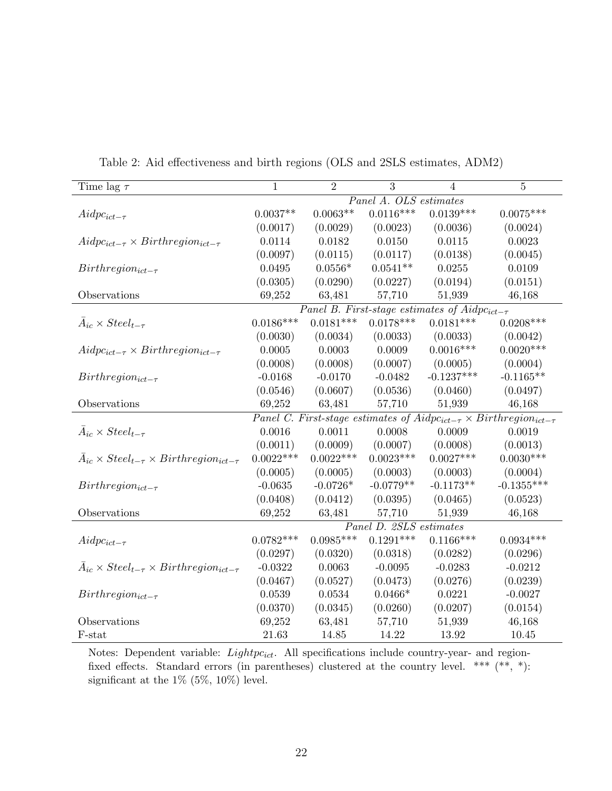| Time lag $\tau$                                                    | $\mathbf{1}$                                                                       | $\overline{2}$ | 3                       | 4                                                    | $\overline{5}$ |  |  |  |
|--------------------------------------------------------------------|------------------------------------------------------------------------------------|----------------|-------------------------|------------------------------------------------------|----------------|--|--|--|
|                                                                    |                                                                                    |                | Panel A. OLS estimates  |                                                      |                |  |  |  |
| $Aidpc_{ict-\tau}$                                                 | $0.0037**$                                                                         | $0.0063**$     | $0.0116***$             | $0.0139***$                                          | $0.0075***$    |  |  |  |
|                                                                    | (0.0017)                                                                           | (0.0029)       | (0.0023)                | (0.0036)                                             | (0.0024)       |  |  |  |
| $Aidpc_{ict-\tau} \times Birthregion_{ict-\tau}$                   | 0.0114                                                                             | 0.0182         | 0.0150                  | 0.0115                                               | 0.0023         |  |  |  |
|                                                                    | (0.0097)                                                                           | (0.0115)       | (0.0117)                | (0.0138)                                             | (0.0045)       |  |  |  |
| $Birthregion_{ict-\tau}$                                           | 0.0495                                                                             | $0.0556*$      | $0.0541**$              | 0.0255                                               | 0.0109         |  |  |  |
|                                                                    | (0.0305)                                                                           | (0.0290)       | (0.0227)                | (0.0194)                                             | (0.0151)       |  |  |  |
| Observations                                                       | 69,252                                                                             | 63,481         | 57,710                  | 51,939                                               | 46,168         |  |  |  |
|                                                                    |                                                                                    |                |                         | Panel B. First-stage estimates of $Aidpc_{ict-\tau}$ |                |  |  |  |
| $\bar{A}_{ic} \times Steel_{t-\tau}$                               | $0.0186***$                                                                        | $0.0181***$    | $0.0178***$             | $0.0181***$                                          | $0.0208***$    |  |  |  |
|                                                                    | (0.0030)                                                                           | (0.0034)       | (0.0033)                | (0.0033)                                             | (0.0042)       |  |  |  |
| $Aidpc_{ict-\tau} \times Birthregion_{ict-\tau}$                   | 0.0005                                                                             | 0.0003         | 0.0009                  | $0.0016***$                                          | $0.0020***$    |  |  |  |
|                                                                    | (0.0008)                                                                           | (0.0008)       | (0.0007)                | (0.0005)                                             | (0.0004)       |  |  |  |
| $Birthregion_{ict-\tau}$                                           | $-0.0168$                                                                          | $-0.0170$      | $-0.0482$               | $-0.1237***$                                         | $-0.1165**$    |  |  |  |
|                                                                    | (0.0546)                                                                           | (0.0607)       | (0.0536)                | (0.0460)                                             | (0.0497)       |  |  |  |
| Observations                                                       | 69,252                                                                             | 63,481         | 57,710                  | 51,939                                               | 46,168         |  |  |  |
|                                                                    | Panel C. First-stage estimates of $Aidpc_{ict-\tau} \times Birthregion_{ict-\tau}$ |                |                         |                                                      |                |  |  |  |
| $A_{ic} \times Steel_{t-\tau}$                                     | 0.0016                                                                             | 0.0011         | 0.0008                  | 0.0009                                               | 0.0019         |  |  |  |
|                                                                    | (0.0011)                                                                           | (0.0009)       | (0.0007)                | (0.0008)                                             | (0.0013)       |  |  |  |
| $\bar{A}_{ic} \times Steel_{t-\tau} \times Birthregion_{ict-\tau}$ | $0.0022***$                                                                        | $0.0022***$    | $0.0023***$             | $0.0027***$                                          | $0.0030***$    |  |  |  |
|                                                                    | (0.0005)                                                                           | (0.0005)       | (0.0003)                | (0.0003)                                             | (0.0004)       |  |  |  |
| $Birthregion_{ict-\tau}$                                           | $-0.0635$                                                                          | $-0.0726*$     | $-0.0779**$             | $-0.1173**$                                          | $-0.1355***$   |  |  |  |
|                                                                    | (0.0408)                                                                           | (0.0412)       | (0.0395)                | (0.0465)                                             | (0.0523)       |  |  |  |
| Observations                                                       | 69,252                                                                             | 63,481         | 57,710                  | 51,939                                               | 46,168         |  |  |  |
|                                                                    |                                                                                    |                | Panel D. 2SLS estimates |                                                      |                |  |  |  |
| $Aidpc_{ict-\tau}$                                                 | $0.0782***$                                                                        | $0.0985***$    | $0.1291***$             | $0.1166***$                                          | $0.0934***$    |  |  |  |
|                                                                    | (0.0297)                                                                           | (0.0320)       | (0.0318)                | (0.0282)                                             | (0.0296)       |  |  |  |
| $\bar{A}_{ic} \times Steel_{t-\tau} \times Birthregion_{ict-\tau}$ | $-0.0322$                                                                          | 0.0063         | $-0.0095$               | $-0.0283$                                            | $-0.0212$      |  |  |  |
|                                                                    | (0.0467)                                                                           | (0.0527)       | (0.0473)                | (0.0276)                                             | (0.0239)       |  |  |  |
| $Birthregion_{ict-\tau}$                                           | 0.0539                                                                             | 0.0534         | $0.0466*$               | 0.0221                                               | $-0.0027$      |  |  |  |
|                                                                    | (0.0370)                                                                           | (0.0345)       | (0.0260)                | (0.0207)                                             | (0.0154)       |  |  |  |
| Observations                                                       | 69,252                                                                             | 63,481         | 57,710                  | 51,939                                               | 46,168         |  |  |  |
| F-stat                                                             | 21.63                                                                              | 14.85          | 14.22                   | 13.92                                                | 10.45          |  |  |  |

Table 2: Aid effectiveness and birth regions (OLS and 2SLS estimates, ADM2)

Notes: Dependent variable: *Lightpc<sub>ict</sub>*. All specifications include country-year- and regionfixed effects. Standard errors (in parentheses) clustered at the country level. \*\*\* (\*\*, \*): significant at the  $1\%$  (5%, 10%) level.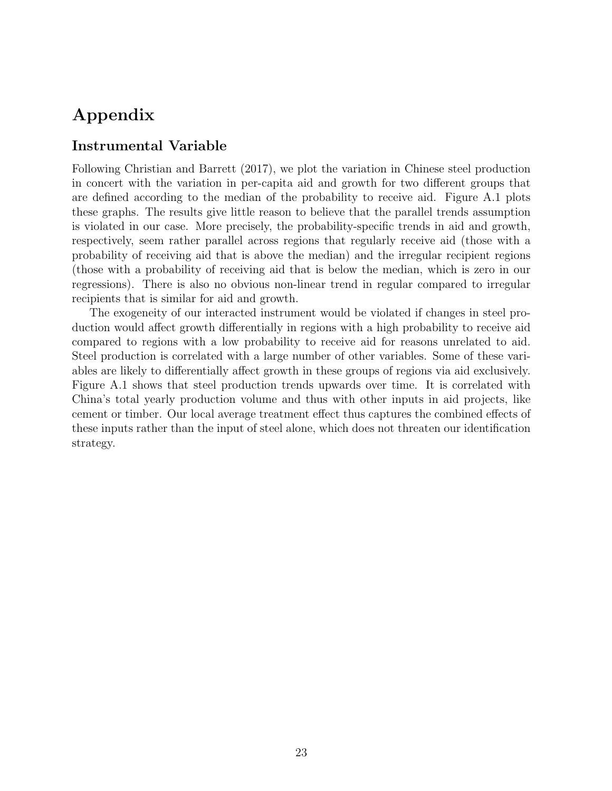# Appendix

### Instrumental Variable

Following Christian and Barrett (2017), we plot the variation in Chinese steel production in concert with the variation in per-capita aid and growth for two different groups that are defined according to the median of the probability to receive aid. Figure A.1 plots these graphs. The results give little reason to believe that the parallel trends assumption is violated in our case. More precisely, the probability-specific trends in aid and growth, respectively, seem rather parallel across regions that regularly receive aid (those with a probability of receiving aid that is above the median) and the irregular recipient regions (those with a probability of receiving aid that is below the median, which is zero in our regressions). There is also no obvious non-linear trend in regular compared to irregular recipients that is similar for aid and growth.

The exogeneity of our interacted instrument would be violated if changes in steel production would affect growth differentially in regions with a high probability to receive aid compared to regions with a low probability to receive aid for reasons unrelated to aid. Steel production is correlated with a large number of other variables. Some of these variables are likely to differentially affect growth in these groups of regions via aid exclusively. Figure A.1 shows that steel production trends upwards over time. It is correlated with China's total yearly production volume and thus with other inputs in aid projects, like cement or timber. Our local average treatment effect thus captures the combined effects of these inputs rather than the input of steel alone, which does not threaten our identification strategy.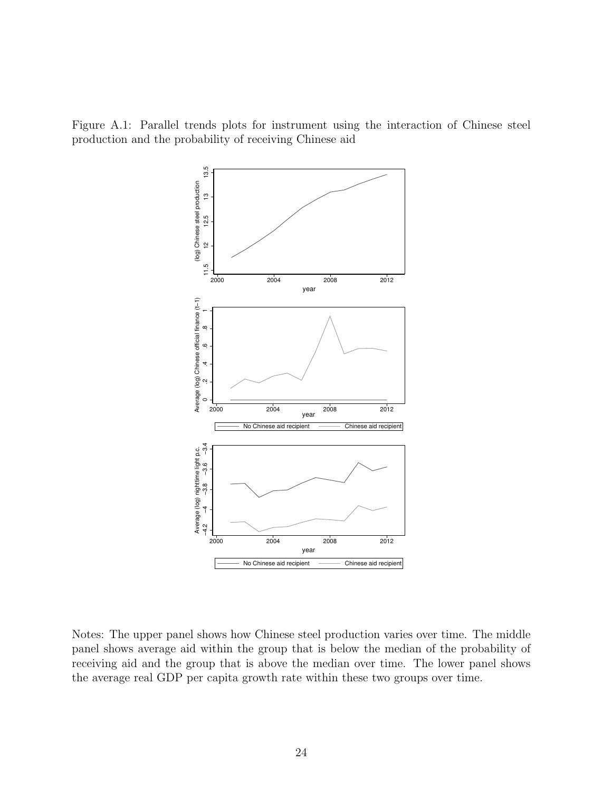Figure A.1: Parallel trends plots for instrument using the interaction of Chinese steel production and the probability of receiving Chinese aid



Notes: The upper panel shows how Chinese steel production varies over time. The middle panel shows average aid within the group that is below the median of the probability of receiving aid and the group that is above the median over time. The lower panel shows the average real GDP per capita growth rate within these two groups over time.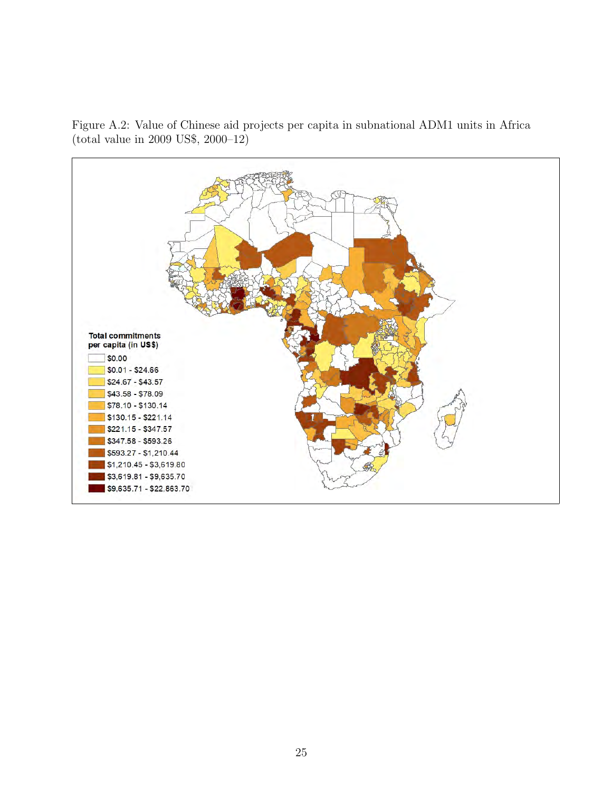

Figure A.2: Value of Chinese aid projects per capita in subnational ADM1 units in Africa (total value in 2009 US\$, 2000–12)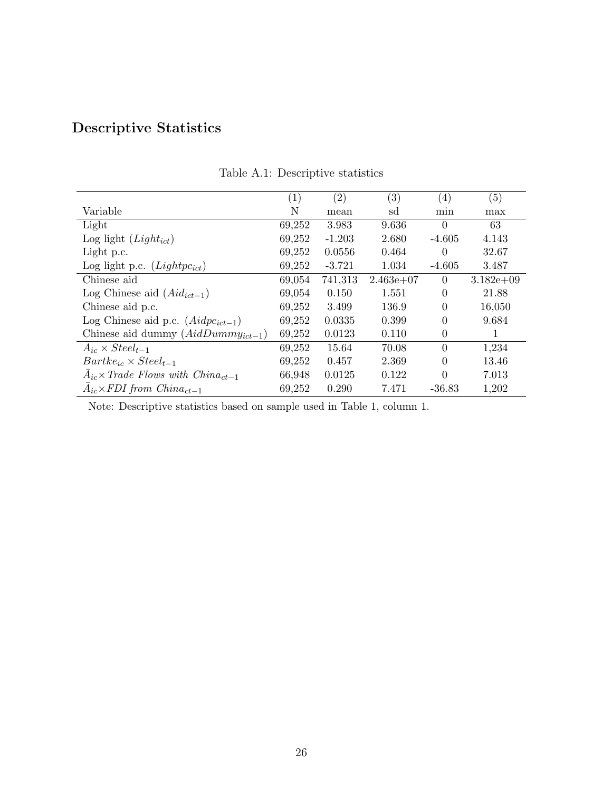# Descriptive Statistics

|                                                         | $\left(1\right)$ | $\left( 2\right)$ | (3)         | $\left(4\right)$ | (5)         |
|---------------------------------------------------------|------------------|-------------------|-------------|------------------|-------------|
| Variable                                                | N                | mean              | sd          | min              | max         |
| Light                                                   | 69,252           | 3.983             | 9.636       | $\Omega$         | 63          |
| Log light $(Light_{ict})$                               | 69,252           | $-1.203$          | 2.680       | $-4.605$         | 4.143       |
| Light p.c.                                              | 69,252           | 0.0556            | 0.464       | 0                | 32.67       |
| Log light p.c. $(Lightpc_{ict})$                        | 69,252           | $-3.721$          | 1.034       | $-4.605$         | 3.487       |
| Chinese aid                                             | 69,054           | 741,313           | $2.463e+07$ | $\Omega$         | $3.182e+09$ |
| Log Chinese aid $(Aid_{ict-1})$                         | 69,054           | 0.150             | 1.551       | 0                | 21.88       |
| Chinese aid p.c.                                        | 69,252           | 3.499             | 136.9       | $\overline{0}$   | 16,050      |
| Log Chinese aid p.c. $(Aidpc_{ict-1})$                  | 69,252           | 0.0335            | 0.399       | 0                | 9.684       |
| Chinese aid dummy $(AidDummy_{ict-1})$                  | 69,252           | 0.0123            | 0.110       | 0                | 1           |
| $A_{ic} \times Steel_{t-1}$                             | 69,252           | 15.64             | 70.08       | $\theta$         | 1,234       |
| $Bartke_{ic} \times Steel_{t-1}$                        | 69,252           | 0.457             | 2.369       | 0                | 13.46       |
| $\bar{A}_{ic}$ x Trade Flows with China <sub>ct-1</sub> | 66,948           | 0.0125            | 0.122       | 0                | 7.013       |
| $A_{ic} \times FDI$ from $China_{ct-1}$                 | 69,252           | 0.290             | 7.471       | $-36.83$         | 1,202       |

Table A.1: Descriptive statistics

Note: Descriptive statistics based on sample used in Table 1, column 1.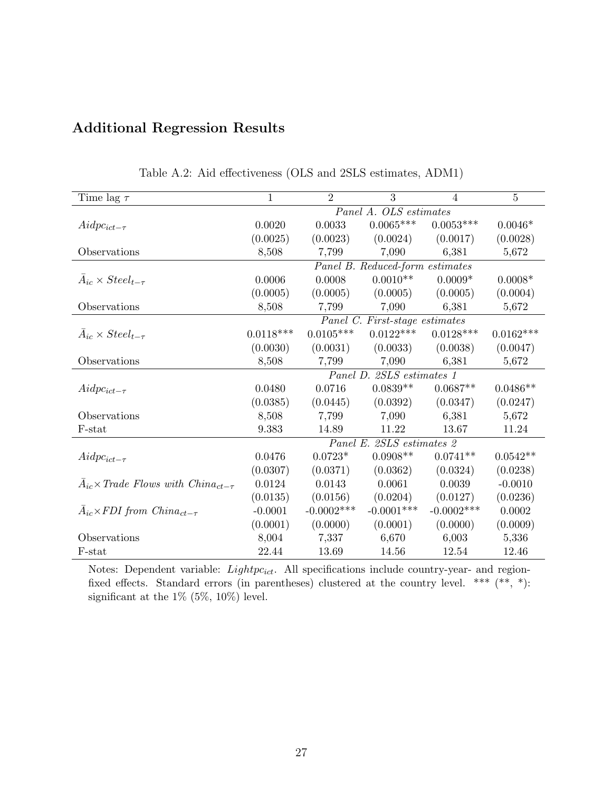|  | <b>Additional Regression Results</b> |  |
|--|--------------------------------------|--|
|--|--------------------------------------|--|

| Time lag $\tau$                                                         | $\mathbf{1}$ | $\overline{2}$ | 3                               | $\overline{4}$ | $\bf 5$     |
|-------------------------------------------------------------------------|--------------|----------------|---------------------------------|----------------|-------------|
|                                                                         |              |                | Panel A. OLS estimates          |                |             |
| $Aidpc_{ict-\tau}$                                                      | 0.0020       | 0.0033         | $0.0065***$                     | $0.0053***$    | $0.0046*$   |
|                                                                         | (0.0025)     | (0.0023)       | (0.0024)                        | (0.0017)       | (0.0028)    |
| Observations                                                            | 8,508        | 7,799          | 7,090                           | 6,381          | 5,672       |
|                                                                         |              |                | Panel B. Reduced-form estimates |                |             |
| $A_{ic} \times Steel_{t-\tau}$                                          | 0.0006       | 0.0008         | $0.0010**$                      | $0.0009*$      | $0.0008*$   |
|                                                                         | (0.0005)     | (0.0005)       | (0.0005)                        | (0.0005)       | (0.0004)    |
| Observations                                                            | 8,508        | 7,799          | 7,090                           | 6,381          | 5,672       |
|                                                                         |              |                | Panel C. First-stage estimates  |                |             |
| $A_{ic} \times Steel_{t-\tau}$                                          | $0.0118***$  | $0.0105***$    | $0.0122***$                     | $0.0128***$    | $0.0162***$ |
|                                                                         | (0.0030)     | (0.0031)       | (0.0033)                        | (0.0038)       | (0.0047)    |
| Observations                                                            | 8,508        | 7,799          | 7,090                           | 6,381          | 5,672       |
|                                                                         |              |                | Panel D. 2SLS estimates 1       |                |             |
| $Aidpc_{ict-\tau}$                                                      | 0.0480       | 0.0716         | $0.0839**$                      | $0.0687**$     | $0.0486**$  |
|                                                                         | (0.0385)     | (0.0445)       | (0.0392)                        | (0.0347)       | (0.0247)    |
| Observations                                                            | 8,508        | 7,799          | 7,090                           | 6,381          | 5,672       |
| F-stat                                                                  | 9.383        | 14.89          | 11.22                           | 13.67          | 11.24       |
|                                                                         |              |                | Panel E. 2SLS estimates 2       |                |             |
| $Aidpc_{ict-\tau}$                                                      | 0.0476       | $0.0723*$      | $0.0908**$                      | $0.0741**$     | $0.0542**$  |
|                                                                         | (0.0307)     | (0.0371)       | (0.0362)                        | (0.0324)       | (0.0238)    |
| $\bar{A}_{ic}$ x Trade Flows with China <sub>ct-<math>\tau</math></sub> | 0.0124       | 0.0143         | 0.0061                          | 0.0039         | $-0.0010$   |
|                                                                         | (0.0135)     | (0.0156)       | (0.0204)                        | (0.0127)       | (0.0236)    |
| $\bar{A}_{ic} \times FDI$ from $China_{ct-\tau}$                        | $-0.0001$    | $-0.0002$ ***  | $-0.0001***$                    | $-0.0002***$   | 0.0002      |
|                                                                         | (0.0001)     | (0.0000)       | (0.0001)                        | (0.0000)       | (0.0009)    |
| Observations                                                            | 8,004        | 7,337          | 6,670                           | 6,003          | 5,336       |
| F-stat                                                                  | 22.44        | 13.69          | 14.56                           | 12.54          | 12.46       |

Table A.2: Aid effectiveness (OLS and 2SLS estimates, ADM1)

Notes: Dependent variable:  $Lightpc_{ict}$ . All specifications include country-year- and regionfixed effects. Standard errors (in parentheses) clustered at the country level. \*\*\*  $(**, *):$ significant at the 1% (5%, 10%) level.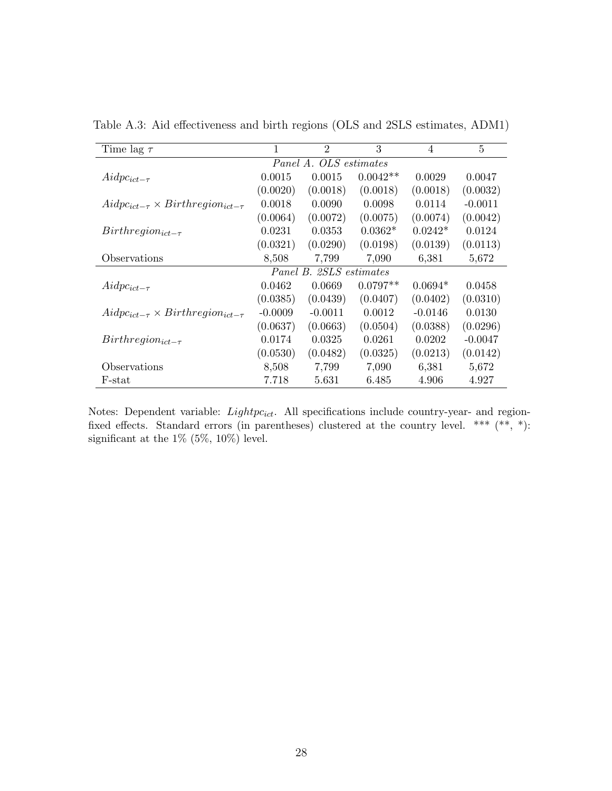| Time lag $\tau$                                  | 1                      | $\overline{2}$          | 3          | $\overline{4}$ | 5         |  |  |  |
|--------------------------------------------------|------------------------|-------------------------|------------|----------------|-----------|--|--|--|
|                                                  | Panel A. OLS estimates |                         |            |                |           |  |  |  |
| $Aidpc_{ict-\tau}$                               | 0.0015                 | 0.0015                  | $0.0042**$ | 0.0029         | 0.0047    |  |  |  |
|                                                  | (0.0020)               | (0.0018)                | (0.0018)   | (0.0018)       | (0.0032)  |  |  |  |
| $Aidpc_{ict-\tau} \times Birthregion_{ict-\tau}$ | 0.0018                 | 0.0090                  | 0.0098     | 0.0114         | $-0.0011$ |  |  |  |
|                                                  | (0.0064)               | (0.0072)                | (0.0075)   | (0.0074)       | (0.0042)  |  |  |  |
| $Birthregion_{ict-\tau}$                         | 0.0231                 | 0.0353                  | $0.0362*$  | $0.0242*$      | 0.0124    |  |  |  |
|                                                  | (0.0321)               | (0.0290)                | (0.0198)   | (0.0139)       | (0.0113)  |  |  |  |
| Observations                                     | 8,508                  | 7,799                   | 7,090      | 6,381          | 5,672     |  |  |  |
|                                                  |                        | Panel B. 2SLS estimates |            |                |           |  |  |  |
| $Aidpc_{ict-\tau}$                               | 0.0462                 | 0.0669                  | $0.0797**$ | $0.0694*$      | 0.0458    |  |  |  |
|                                                  | (0.0385)               | (0.0439)                | (0.0407)   | (0.0402)       | (0.0310)  |  |  |  |
| $Aidpc_{ict-\tau} \times Birthregion_{ict-\tau}$ | $-0.0009$              | $-0.0011$               | 0.0012     | $-0.0146$      | 0.0130    |  |  |  |
|                                                  | (0.0637)               | (0.0663)                | (0.0504)   | (0.0388)       | (0.0296)  |  |  |  |
| $Birthregion_{ict-\tau}$                         | 0.0174                 | 0.0325                  | 0.0261     | 0.0202         | $-0.0047$ |  |  |  |
|                                                  | (0.0530)               | (0.0482)                | (0.0325)   | (0.0213)       | (0.0142)  |  |  |  |
| Observations                                     | 8,508                  | 7,799                   | 7,090      | 6,381          | 5,672     |  |  |  |
| F-stat                                           | 7.718                  | 5.631                   | 6.485      | 4.906          | 4.927     |  |  |  |

Table A.3: Aid effectiveness and birth regions (OLS and 2SLS estimates, ADM1)

Notes: Dependent variable:  $Lightpc_{ict}$ . All specifications include country-year- and regionfixed effects. Standard errors (in parentheses) clustered at the country level. \*\*\* (\*\*, \*): significant at the  $1\%$  (5%, 10%) level.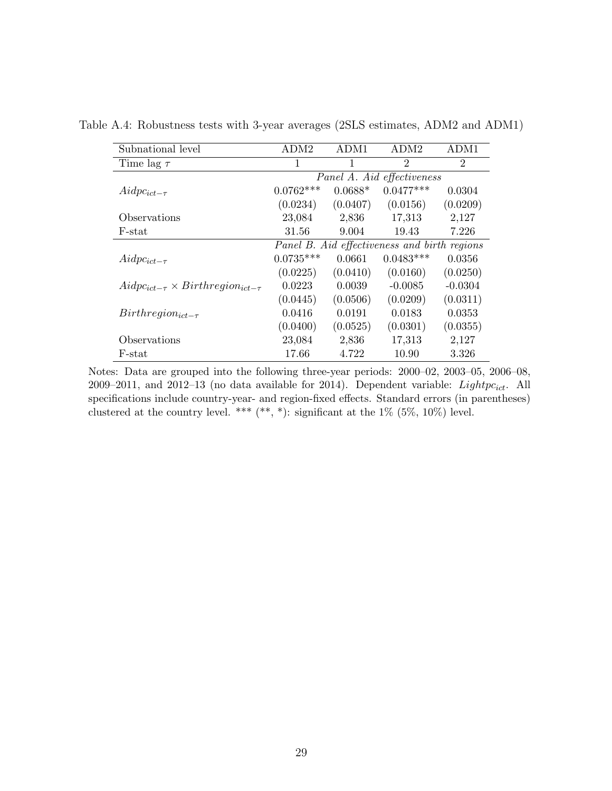| Subnational level                                | ADM <sub>2</sub>           | ADM1      | ADM <sub>2</sub>                             | ADM1           |  |  |  |  |
|--------------------------------------------------|----------------------------|-----------|----------------------------------------------|----------------|--|--|--|--|
| Time lag $\tau$                                  | 1                          |           | $\overline{2}$                               | $\overline{2}$ |  |  |  |  |
|                                                  | Panel A. Aid effectiveness |           |                                              |                |  |  |  |  |
| $Aidpc_{ict-\tau}$                               | $0.0762***$                | $0.0688*$ | $0.0477***$                                  | 0.0304         |  |  |  |  |
|                                                  | (0.0234)                   | (0.0407)  | (0.0156)                                     | (0.0209)       |  |  |  |  |
| Observations                                     | 23,084                     | 2,836     | 17,313                                       | 2,127          |  |  |  |  |
| F-stat                                           | 31.56                      | 9.004     | 19.43                                        | 7.226          |  |  |  |  |
|                                                  |                            |           | Panel B. Aid effectiveness and birth regions |                |  |  |  |  |
| $Aidpc_{ict-\tau}$                               | $0.0735***$                | 0.0661    | $0.0483***$                                  | 0.0356         |  |  |  |  |
|                                                  | (0.0225)                   | (0.0410)  | (0.0160)                                     | (0.0250)       |  |  |  |  |
| $Aidpc_{ict-\tau} \times Birthregion_{ict-\tau}$ | 0.0223                     | 0.0039    | $-0.0085$                                    | $-0.0304$      |  |  |  |  |
|                                                  | (0.0445)                   | (0.0506)  | (0.0209)                                     | (0.0311)       |  |  |  |  |
| $Birthregion_{ict-\tau}$                         | 0.0416                     | 0.0191    | 0.0183                                       | 0.0353         |  |  |  |  |
|                                                  | (0.0400)                   | (0.0525)  | (0.0301)                                     | (0.0355)       |  |  |  |  |
| Observations                                     | 23,084                     | 2,836     | 17,313                                       | 2,127          |  |  |  |  |
| F-stat                                           | 17.66                      | 4.722     | 10.90                                        | 3.326          |  |  |  |  |

Table A.4: Robustness tests with 3-year averages (2SLS estimates, ADM2 and ADM1)

Notes: Data are grouped into the following three-year periods: 2000–02, 2003–05, 2006–08, 2009–2011, and 2012–13 (no data available for 2014). Dependent variable:  $Lightpc_{ict}$ . All specifications include country-year- and region-fixed effects. Standard errors (in parentheses) clustered at the country level. \*\*\*  $(**, *)$ : significant at the 1% (5%, 10%) level.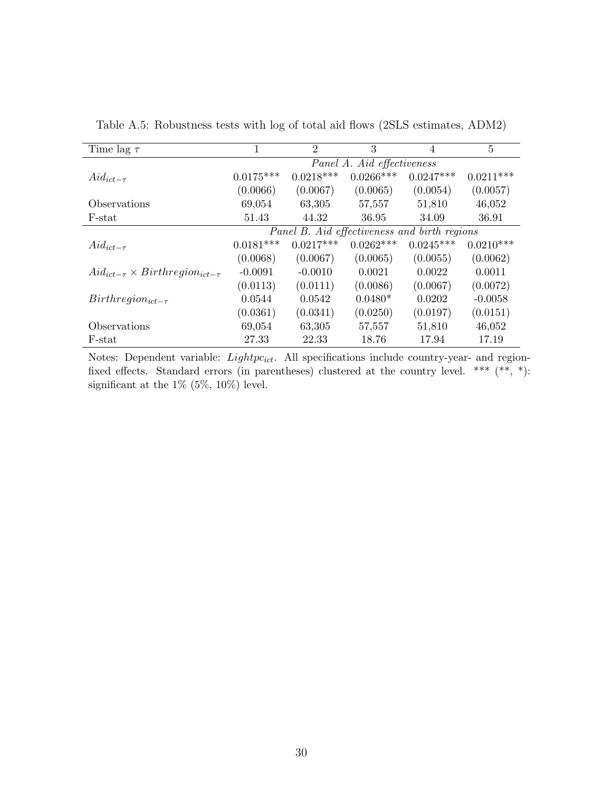| Time lag $\tau$                                | 1                                            | $\overline{2}$ | 3           | 4           | 5           |  |  |
|------------------------------------------------|----------------------------------------------|----------------|-------------|-------------|-------------|--|--|
|                                                | Panel A. Aid effectiveness                   |                |             |             |             |  |  |
| $Aid_{ict-\tau}$                               | $0.0175***$                                  | $0.0218***$    | $0.0266***$ | $0.0247***$ | $0.0211***$ |  |  |
|                                                | (0.0066)                                     | (0.0067)       | (0.0065)    | (0.0054)    | (0.0057)    |  |  |
| Observations                                   | 69,054                                       | 63,305         | 57,557      | 51,810      | 46,052      |  |  |
| F-stat                                         | 51.43                                        | 44.32          | 36.95       | 34.09       | 36.91       |  |  |
|                                                | Panel B. Aid effectiveness and birth regions |                |             |             |             |  |  |
| $Aid_{ict-\tau}$                               | $0.0181***$                                  | $0.0217***$    | $0.0262***$ | $0.0245***$ | $0.0210***$ |  |  |
|                                                | (0.0068)                                     | (0.0067)       | (0.0065)    | (0.0055)    | (0.0062)    |  |  |
| $Aid_{ict-\tau} \times Birthregion_{ict-\tau}$ | $-0.0091$                                    | $-0.0010$      | 0.0021      | 0.0022      | 0.0011      |  |  |
|                                                | (0.0113)                                     | (0.0111)       | (0.0086)    | (0.0067)    | (0.0072)    |  |  |
| $Birthregion_{ict-\tau}$                       | 0.0544                                       | 0.0542         | $0.0480*$   | 0.0202      | $-0.0058$   |  |  |
|                                                | (0.0361)                                     | (0.0341)       | (0.0250)    | (0.0197)    | (0.0151)    |  |  |
| Observations                                   | 69,054                                       | 63,305         | 57,557      | 51,810      | 46,052      |  |  |
| F-stat                                         | 27.33                                        | 22.33          | 18.76       | 17.94       | 17.19       |  |  |

Table A.5: Robustness tests with log of total aid flows (2SLS estimates, ADM2)

Notes: Dependent variable:  $Lightpc_{ict}$ . All specifications include country-year- and regionfixed effects. Standard errors (in parentheses) clustered at the country level. \*\*\*  $(**, *)$ : significant at the 1% (5%, 10%) level.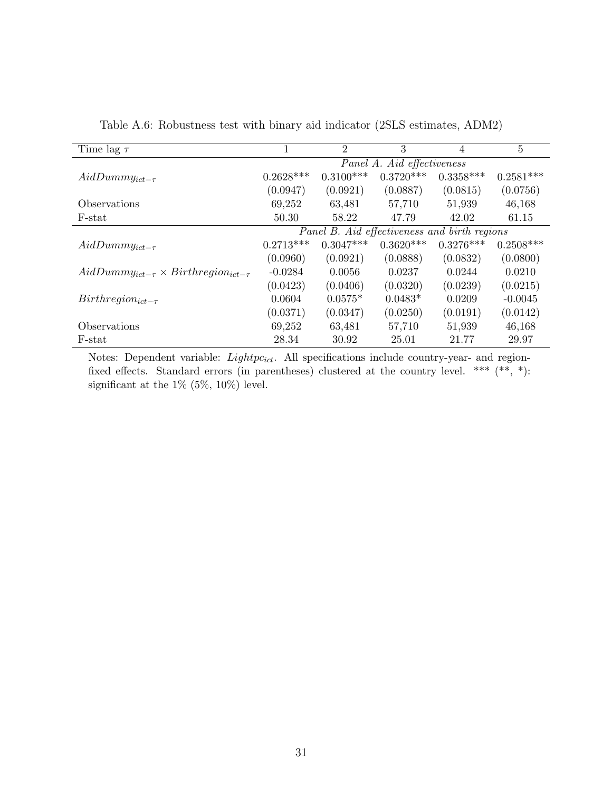| Time lag $\tau$                                     |                            | $\overline{2}$ | 3                                            | 4           | 5           |  |  |
|-----------------------------------------------------|----------------------------|----------------|----------------------------------------------|-------------|-------------|--|--|
|                                                     | Panel A. Aid effectiveness |                |                                              |             |             |  |  |
| $AidDummy_{ict-\tau}$                               | $0.2628***$                | $0.3100***$    | $0.3720***$                                  | $0.3358***$ | $0.2581***$ |  |  |
|                                                     | (0.0947)                   | (0.0921)       | (0.0887)                                     | (0.0815)    | (0.0756)    |  |  |
| <i><b>Observations</b></i>                          | 69,252                     | 63,481         | 57,710                                       | 51,939      | 46,168      |  |  |
| F-stat                                              | 50.30                      | 58.22          | 47.79                                        | 42.02       | 61.15       |  |  |
|                                                     |                            |                | Panel B. Aid effectiveness and birth regions |             |             |  |  |
| $AidDummy_{ict-\tau}$                               | $0.2713***$                | $0.3047***$    | $0.3620***$                                  | $0.3276***$ | $0.2508***$ |  |  |
|                                                     | (0.0960)                   | (0.0921)       | (0.0888)                                     | (0.0832)    | (0.0800)    |  |  |
| $AidDummy_{ict-\tau} \times Birthregion_{ict-\tau}$ | $-0.0284$                  | 0.0056         | 0.0237                                       | 0.0244      | 0.0210      |  |  |
|                                                     | (0.0423)                   | (0.0406)       | (0.0320)                                     | (0.0239)    | (0.0215)    |  |  |
| $Birthregion_{ict-\tau}$                            | 0.0604                     | $0.0575*$      | $0.0483*$                                    | 0.0209      | $-0.0045$   |  |  |
|                                                     | (0.0371)                   | (0.0347)       | (0.0250)                                     | (0.0191)    | (0.0142)    |  |  |
| Observations                                        | 69,252                     | 63,481         | 57,710                                       | 51,939      | 46,168      |  |  |
| $F\text{-stat}$                                     | 28.34                      | 30.92          | 25.01                                        | 21.77       | 29.97       |  |  |

Table A.6: Robustness test with binary aid indicator (2SLS estimates, ADM2)

Notes: Dependent variable:  $Lightpc_{ict}$ . All specifications include country-year- and regionfixed effects. Standard errors (in parentheses) clustered at the country level. \*\*\*  $(**, *)$ : significant at the 1% (5%, 10%) level.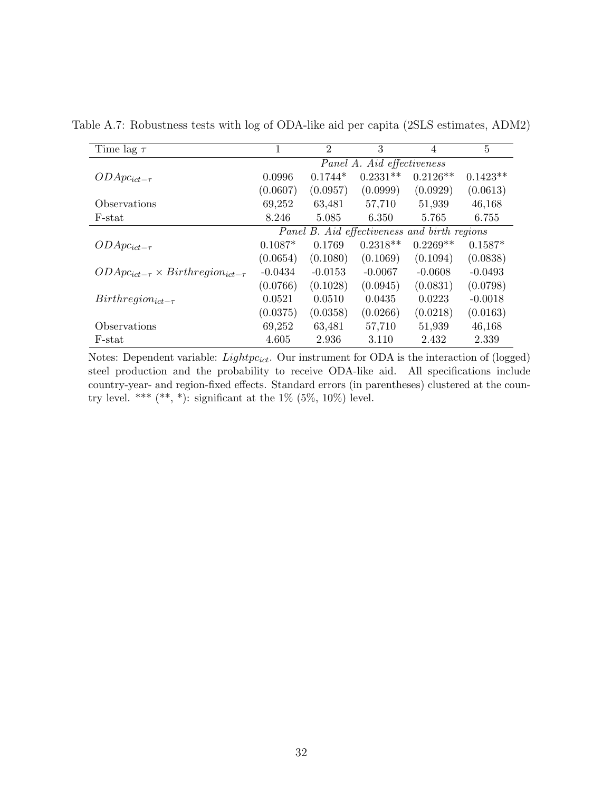| Time lag $\tau$                                  |                                              | $\overline{2}$ | 3          | 4          | 5          |  |  |
|--------------------------------------------------|----------------------------------------------|----------------|------------|------------|------------|--|--|
|                                                  | Panel A. Aid effectiveness                   |                |            |            |            |  |  |
| $ODApc_{ict-\tau}$                               | 0.0996                                       | $0.1744*$      | $0.2331**$ | $0.2126**$ | $0.1423**$ |  |  |
|                                                  | (0.0607)                                     | (0.0957)       | (0.0999)   | (0.0929)   | (0.0613)   |  |  |
| Observations                                     | 69,252                                       | 63,481         | 57,710     | 51,939     | 46,168     |  |  |
| F-stat                                           | 8.246                                        | 5.085          | 6.350      | 5.765      | 6.755      |  |  |
|                                                  | Panel B. Aid effectiveness and birth regions |                |            |            |            |  |  |
| $ODApc_{ict-\tau}$                               | $0.1087*$                                    | 0.1769         | $0.2318**$ | $0.2269**$ | $0.1587*$  |  |  |
|                                                  | (0.0654)                                     | (0.1080)       | (0.1069)   | (0.1094)   | (0.0838)   |  |  |
| $ODApc_{ict-\tau} \times Birthregion_{ict-\tau}$ | $-0.0434$                                    | $-0.0153$      | $-0.0067$  | $-0.0608$  | $-0.0493$  |  |  |
|                                                  | (0.0766)                                     | (0.1028)       | (0.0945)   | (0.0831)   | (0.0798)   |  |  |
| $Birthregion_{ict-\tau}$                         | 0.0521                                       | 0.0510         | 0.0435     | 0.0223     | $-0.0018$  |  |  |
|                                                  | (0.0375)                                     | (0.0358)       | (0.0266)   | (0.0218)   | (0.0163)   |  |  |
| Observations                                     | 69,252                                       | 63,481         | 57,710     | 51,939     | 46,168     |  |  |
| F-stat                                           | 4.605                                        | 2.936          | 3.110      | 2.432      | 2.339      |  |  |

Table A.7: Robustness tests with log of ODA-like aid per capita (2SLS estimates, ADM2)

Notes: Dependent variable:  $Lightpc_{ict}$ . Our instrument for ODA is the interaction of (logged) steel production and the probability to receive ODA-like aid. All specifications include country-year- and region-fixed effects. Standard errors (in parentheses) clustered at the country level. \*\*\* (\*\*, \*): significant at the  $1\%$  (5%, 10%) level.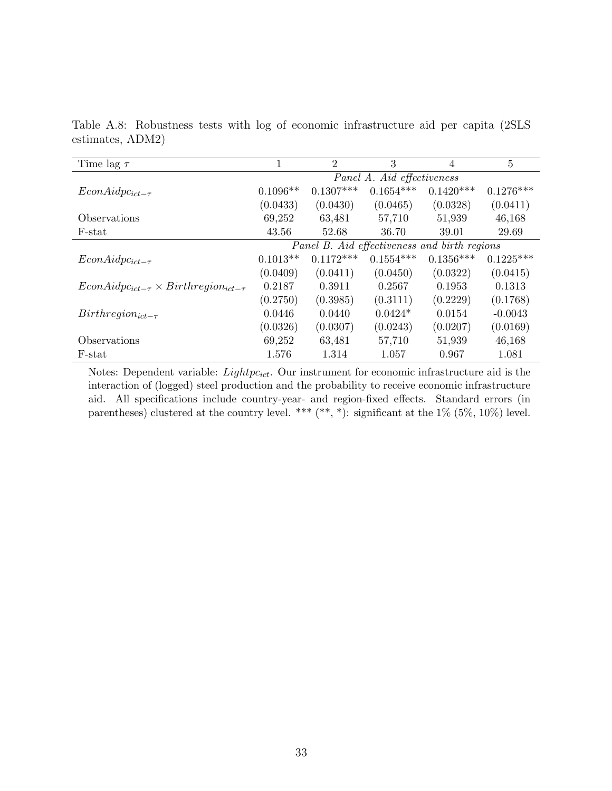| Time lag $\tau$                                      |                            | $\overline{2}$ | 3           | 4                                            | $\overline{5}$ |  |
|------------------------------------------------------|----------------------------|----------------|-------------|----------------------------------------------|----------------|--|
|                                                      | Panel A. Aid effectiveness |                |             |                                              |                |  |
| $EconAidpc_{ict-\tau}$                               | $0.1096**$                 | $0.1307***$    | $0.1654***$ | $0.1420***$                                  | $0.1276***$    |  |
|                                                      | (0.0433)                   | (0.0430)       | (0.0465)    | (0.0328)                                     | (0.0411)       |  |
| Observations                                         | 69,252                     | 63,481         | 57,710      | 51,939                                       | 46,168         |  |
| F-stat                                               | 43.56                      | 52.68          | 36.70       | 39.01                                        | 29.69          |  |
|                                                      |                            |                |             | Panel B. Aid effectiveness and birth regions |                |  |
| $EconAidpc_{ict-\tau}$                               | $0.1013**$                 | $0.1172***$    | $0.1554***$ | $0.1356***$                                  | $0.1225***$    |  |
|                                                      | (0.0409)                   | (0.0411)       | (0.0450)    | (0.0322)                                     | (0.0415)       |  |
| $EconAidpc_{ict-\tau} \times Birthregion_{ict-\tau}$ | 0.2187                     | 0.3911         | 0.2567      | 0.1953                                       | 0.1313         |  |
|                                                      | (0.2750)                   | (0.3985)       | (0.3111)    | (0.2229)                                     | (0.1768)       |  |
| $Birthregion_{ict-\tau}$                             | 0.0446                     | 0.0440         | $0.0424*$   | 0.0154                                       | $-0.0043$      |  |
|                                                      | (0.0326)                   | (0.0307)       | (0.0243)    | (0.0207)                                     | (0.0169)       |  |
| Observations                                         | 69,252                     | 63,481         | 57,710      | 51,939                                       | 46,168         |  |
| F-stat                                               | 1.576                      | 1.314          | 1.057       | 0.967                                        | 1.081          |  |

Table A.8: Robustness tests with log of economic infrastructure aid per capita (2SLS estimates, ADM2)

Notes: Dependent variable:  $Lightpc_{ict}$ . Our instrument for economic infrastructure aid is the interaction of (logged) steel production and the probability to receive economic infrastructure aid. All specifications include country-year- and region-fixed effects. Standard errors (in parentheses) clustered at the country level. \*\*\*  $(**, *)$ : significant at the 1% (5%, 10%) level.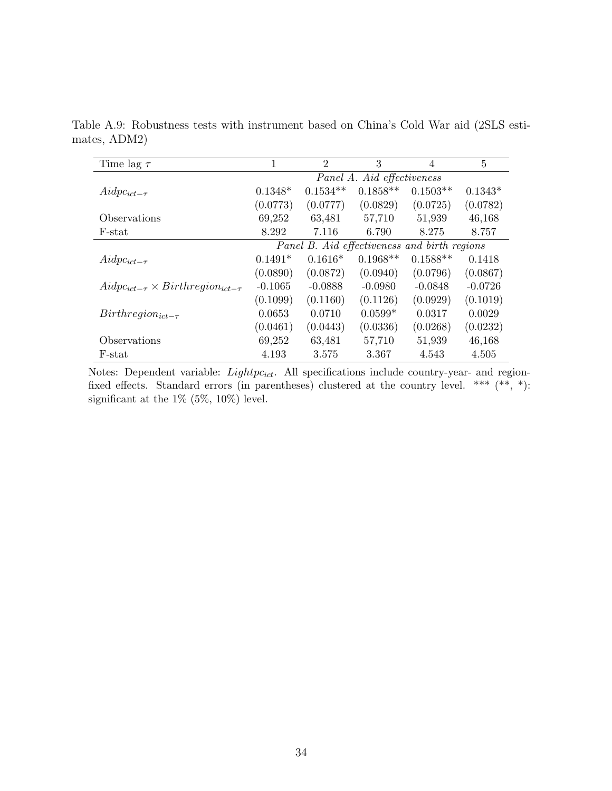| Time lag $\tau$                                  | 1                          | $\overline{2}$ | 3          | $\overline{4}$                               | $\overline{5}$ |  |
|--------------------------------------------------|----------------------------|----------------|------------|----------------------------------------------|----------------|--|
|                                                  | Panel A. Aid effectiveness |                |            |                                              |                |  |
| $Aidpc_{ict-\tau}$                               | $0.1348*$                  | $0.1534**$     | $0.1858**$ | $0.1503**$                                   | $0.1343*$      |  |
|                                                  | (0.0773)                   | (0.0777)       | (0.0829)   | (0.0725)                                     | (0.0782)       |  |
| Observations                                     | 69,252                     | 63,481         | 57,710     | 51,939                                       | 46,168         |  |
| F-stat                                           | 8.292                      | 7.116          | 6.790      | 8.275                                        | 8.757          |  |
|                                                  |                            |                |            | Panel B. Aid effectiveness and birth regions |                |  |
| $Aidpc_{ict-\tau}$                               | $0.1491*$                  | $0.1616*$      | $0.1968**$ | $0.1588**$                                   | 0.1418         |  |
|                                                  | (0.0890)                   | (0.0872)       | (0.0940)   | (0.0796)                                     | (0.0867)       |  |
| $Aidpc_{ict-\tau} \times Birthregion_{ict-\tau}$ | $-0.1065$                  | $-0.0888$      | $-0.0980$  | $-0.0848$                                    | $-0.0726$      |  |
|                                                  | (0.1099)                   | (0.1160)       | (0.1126)   | (0.0929)                                     | (0.1019)       |  |
| $Birthregion_{ict-\tau}$                         | 0.0653                     | 0.0710         | $0.0599*$  | 0.0317                                       | 0.0029         |  |
|                                                  | (0.0461)                   | (0.0443)       | (0.0336)   | (0.0268)                                     | (0.0232)       |  |
| Observations                                     | 69,252                     | 63,481         | 57,710     | 51,939                                       | 46,168         |  |
| F-stat                                           | 4.193                      | 3.575          | 3.367      | 4.543                                        | 4.505          |  |

Table A.9: Robustness tests with instrument based on China's Cold War aid (2SLS estimates, ADM2)

Notes: Dependent variable:  $Lightpc_{ict}$ . All specifications include country-year- and regionfixed effects. Standard errors (in parentheses) clustered at the country level. \*\*\* (\*\*, \*): significant at the 1% (5%, 10%) level.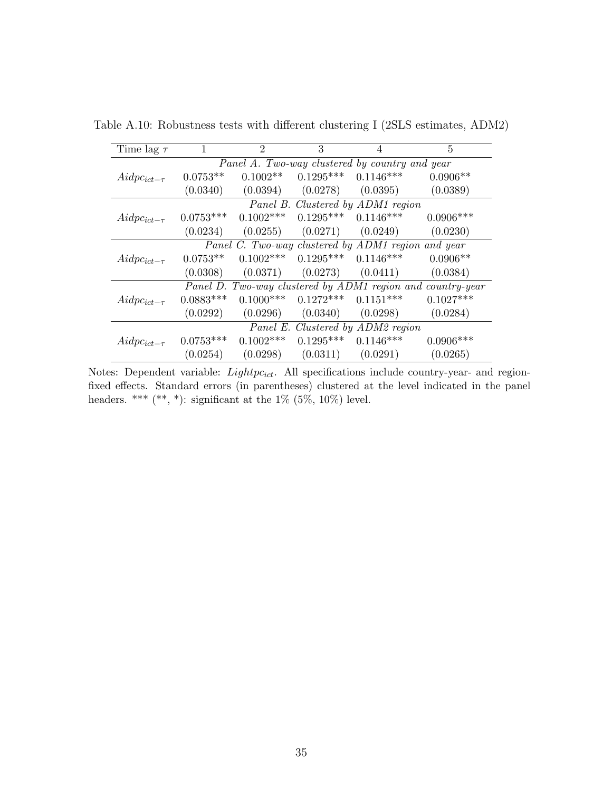| Time lag $\tau$                                    | 1                                                          | $\overline{2}$ | 3           | 4           | 5           |  |  |  |  |  |
|----------------------------------------------------|------------------------------------------------------------|----------------|-------------|-------------|-------------|--|--|--|--|--|
|                                                    | Panel A. Two-way clustered by country and year             |                |             |             |             |  |  |  |  |  |
| $Aidpc_{ict-\tau}$                                 | $0.0753**$                                                 | $0.1002**$     | $0.1295***$ | $0.1146***$ | $0.0906**$  |  |  |  |  |  |
|                                                    | (0.0340)                                                   | (0.0394)       | (0.0278)    | (0.0395)    | (0.0389)    |  |  |  |  |  |
|                                                    | Panel B. Clustered by ADM1 region                          |                |             |             |             |  |  |  |  |  |
| $Aidpc_{ict-\tau}$                                 | $0.0753***$                                                | $0.1002***$    | $0.1295***$ | $0.1146***$ | $0.0906***$ |  |  |  |  |  |
|                                                    | (0.0234)                                                   | (0.0255)       | (0.0271)    | (0.0249)    | (0.0230)    |  |  |  |  |  |
| Panel C. Two-way clustered by ADM1 region and year |                                                            |                |             |             |             |  |  |  |  |  |
| $Aidpc_{ict-\tau}$                                 | $0.0753**$                                                 | $0.1002***$    | $0.1295***$ | $0.1146***$ | $0.0906**$  |  |  |  |  |  |
|                                                    | (0.0308)                                                   | (0.0371)       | (0.0273)    | (0.0411)    | (0.0384)    |  |  |  |  |  |
|                                                    | Panel D. Two-way clustered by ADM1 region and country-year |                |             |             |             |  |  |  |  |  |
| $Aidpc_{ict-\tau}$                                 | $0.0883***$                                                | $0.1000***$    | $0.1272***$ | $0.1151***$ | $0.1027***$ |  |  |  |  |  |
|                                                    | (0.0292)                                                   | (0.0296)       | (0.0340)    | (0.0298)    | (0.0284)    |  |  |  |  |  |
|                                                    | Panel E. Clustered by ADM2 region                          |                |             |             |             |  |  |  |  |  |
| $Aidpc_{ict-\tau}$                                 | $0.0753***$                                                | $0.1002***$    | $0.1295***$ | $0.1146***$ | $0.0906***$ |  |  |  |  |  |
|                                                    | (0.0254)                                                   | (0.0298)       | (0.0311)    | (0.0291)    | (0.0265)    |  |  |  |  |  |

Table A.10: Robustness tests with different clustering I (2SLS estimates, ADM2)

Notes: Dependent variable:  $Lightpc_{ict}$ . All specifications include country-year- and regionfixed effects. Standard errors (in parentheses) clustered at the level indicated in the panel headers. \*\*\*  $(**, *)$ : significant at the  $1\%$   $(5\%, 10\%)$  level.